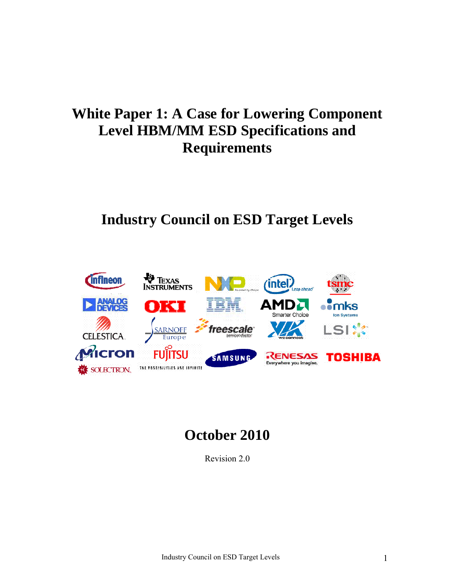# **White Paper 1: A Case for Lowering Component Level HBM/MM ESD Specifications and Requirements**

# **Industry Council on ESD Target Levels**



# **October 2010**

Revision 2.0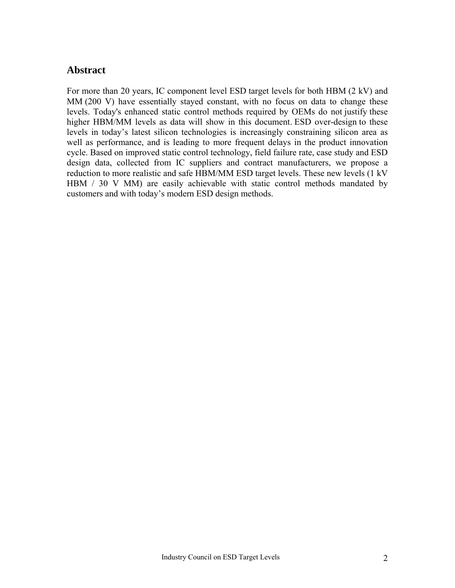### **Abstract**

For more than 20 years, IC component level ESD target levels for both HBM (2 kV) and MM (200 V) have essentially stayed constant, with no focus on data to change these levels. Today's enhanced static control methods required by OEMs do not justify these higher HBM/MM levels as data will show in this document. ESD over-design to these levels in today's latest silicon technologies is increasingly constraining silicon area as well as performance, and is leading to more frequent delays in the product innovation cycle. Based on improved static control technology, field failure rate, case study and ESD design data, collected from IC suppliers and contract manufacturers, we propose a reduction to more realistic and safe HBM/MM ESD target levels. These new levels (1 kV HBM / 30 V MM) are easily achievable with static control methods mandated by customers and with today's modern ESD design methods.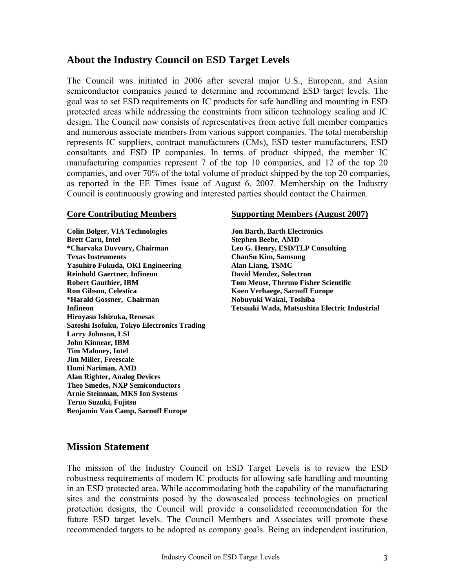### **About the Industry Council on ESD Target Levels**

The Council was initiated in 2006 after several major U.S., European, and Asian semiconductor companies joined to determine and recommend ESD target levels. The goal was to set ESD requirements on IC products for safe handling and mounting in ESD protected areas while addressing the constraints from silicon technology scaling and IC design. The Council now consists of representatives from active full member companies and numerous associate members from various support companies. The total membership represents IC suppliers, contract manufacturers (CMs), ESD tester manufacturers, ESD consultants and ESD IP companies. In terms of product shipped, the member IC manufacturing companies represent 7 of the top 10 companies, and 12 of the top 20 companies, and over 70% of the total volume of product shipped by the top 20 companies, as reported in the EE Times issue of August 6, 2007. Membership on the Industry Council is continuously growing and interested parties should contact the Chairmen.

**Colin Bolger, VIA Technologies Jon Barth, Barth Electronics Brett Carn, Intel Stephen Beebe, AMD \*Charvaka Duvvury, Chairman Leo G. Henry, ESD/TLP Consulting Texas Instruments ChanSu Kim, Samsung Yasuhiro Fukuda, OKI Engineering Alan Liang, TSMC**  Reinhold Gaertner, Infineon **David Mendez, Solectron Robert Gauthier, IBM Tom Meuse, Thermo Fisher Scientific Ron Gibson, Celestica Koen Verhaege, Sarnoff Europe Koen Verhaege, Sarnoff Europe \*Harald Gossner, Chairman Nobuyuki Wakai, Toshiba Hiroyasu Ishizuka, Renesas Satoshi Isofuku, Tokyo Electronics Trading Larry Johnson, LSI John Kinnear, IBM Tim Maloney, Intel Jim Miller, Freescale Homi Nariman, AMD Alan Righter, Analog Devices Theo Smedes, NXP Semiconductors Arnie Steinman, MKS Ion Systems Teruo Suzuki, Fujitsu Benjamin Van Camp, Sarnoff Europe** 

#### **Core Contributing Members Supporting Members (August 2007)**

**Infineon Tetsuaki Wada, Matsushita Electric Industrial** 

### **Mission Statement**

The mission of the Industry Council on ESD Target Levels is to review the ESD robustness requirements of modern IC products for allowing safe handling and mounting in an ESD protected area. While accommodating both the capability of the manufacturing sites and the constraints posed by the downscaled process technologies on practical protection designs, the Council will provide a consolidated recommendation for the future ESD target levels. The Council Members and Associates will promote these recommended targets to be adopted as company goals. Being an independent institution,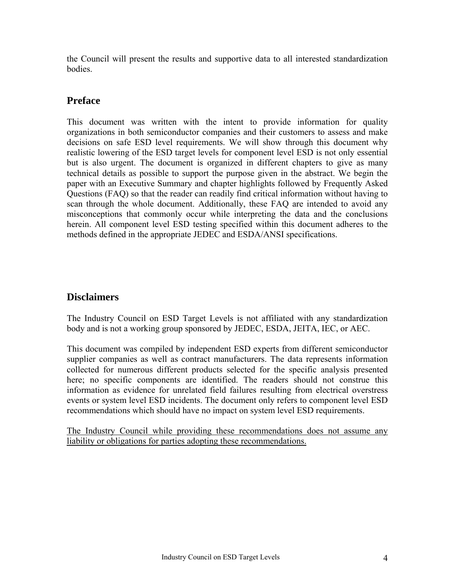the Council will present the results and supportive data to all interested standardization bodies.

### **Preface**

This document was written with the intent to provide information for quality organizations in both semiconductor companies and their customers to assess and make decisions on safe ESD level requirements. We will show through this document why realistic lowering of the ESD target levels for component level ESD is not only essential but is also urgent. The document is organized in different chapters to give as many technical details as possible to support the purpose given in the abstract. We begin the paper with an Executive Summary and chapter highlights followed by Frequently Asked Questions (FAQ) so that the reader can readily find critical information without having to scan through the whole document. Additionally, these FAQ are intended to avoid any misconceptions that commonly occur while interpreting the data and the conclusions herein. All component level ESD testing specified within this document adheres to the methods defined in the appropriate JEDEC and ESDA/ANSI specifications.

### **Disclaimers**

The Industry Council on ESD Target Levels is not affiliated with any standardization body and is not a working group sponsored by JEDEC, ESDA, JEITA, IEC, or AEC.

This document was compiled by independent ESD experts from different semiconductor supplier companies as well as contract manufacturers. The data represents information collected for numerous different products selected for the specific analysis presented here; no specific components are identified. The readers should not construe this information as evidence for unrelated field failures resulting from electrical overstress events or system level ESD incidents. The document only refers to component level ESD recommendations which should have no impact on system level ESD requirements.

The Industry Council while providing these recommendations does not assume any liability or obligations for parties adopting these recommendations.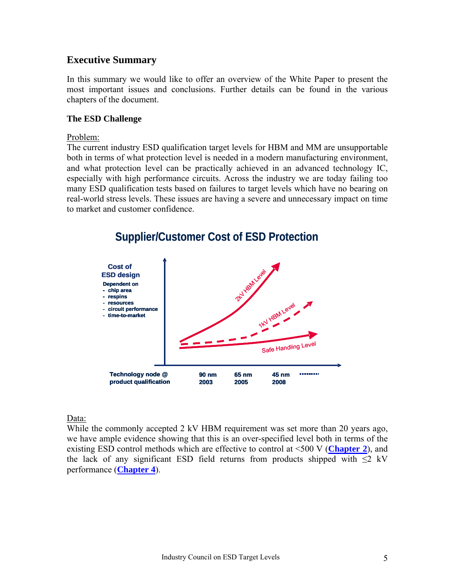### **Executive Summary**

In this summary we would like to offer an overview of the White Paper to present the most important issues and conclusions. Further details can be found in the various chapters of the document.

#### **The ESD Challenge**

#### Problem:

The current industry ESD qualification target levels for HBM and MM are unsupportable both in terms of what protection level is needed in a modern manufacturing environment, and what protection level can be practically achieved in an advanced technology IC, especially with high performance circuits. Across the industry we are today failing too many ESD qualification tests based on failures to target levels which have no bearing on real-world stress levels. These issues are having a severe and unnecessary impact on time to market and customer confidence.



# **Supplier/Customer Cost of ESD Protection**

### Data:

While the commonly accepted 2 kV HBM requirement was set more than 20 years ago, we have ample evidence showing that this is an over-specified level both in terms of the existing ESD control methods which are effective to control at <500 V (**[Chapter 2](#page-17-0)**), and the lack of any significant ESD field returns from products shipped with  $\leq 2$  kV performance (**[Chapter 4](#page-31-0)**).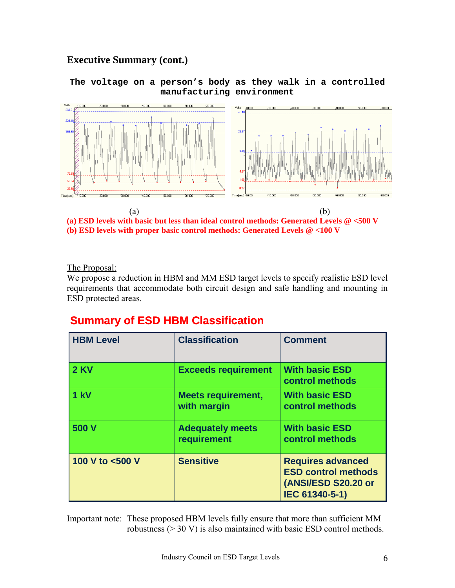### **Executive Summary (cont.)**

#### **The voltage on a person's body as they walk in a controlled manufacturing environment**





The Proposal:

We propose a reduction in HBM and MM ESD target levels to specify realistic ESD level requirements that accommodate both circuit design and safe handling and mounting in ESD protected areas.

### **Summary of ESD HBM Classification**

| <b>HBM Level</b> | <b>Classification</b>                    | <b>Comment</b>                                                                                  |
|------------------|------------------------------------------|-------------------------------------------------------------------------------------------------|
| <b>2 KV</b>      | <b>Exceeds requirement</b>               | <b>With basic ESD</b><br>control methods                                                        |
| $1$ kV           | <b>Meets requirement,</b><br>with margin | <b>With basic ESD</b><br>control methods                                                        |
| 500 V            | <b>Adequately meets</b><br>requirement   | <b>With basic ESD</b><br>control methods                                                        |
| 100 V to <500 V  | <b>Sensitive</b>                         | <b>Requires advanced</b><br><b>ESD control methods</b><br>(ANSI/ESD S20.20 or<br>IEC 61340-5-1) |

Important note: These proposed HBM levels fully ensure that more than sufficient MM robustness (> 30 V) is also maintained with basic ESD control methods.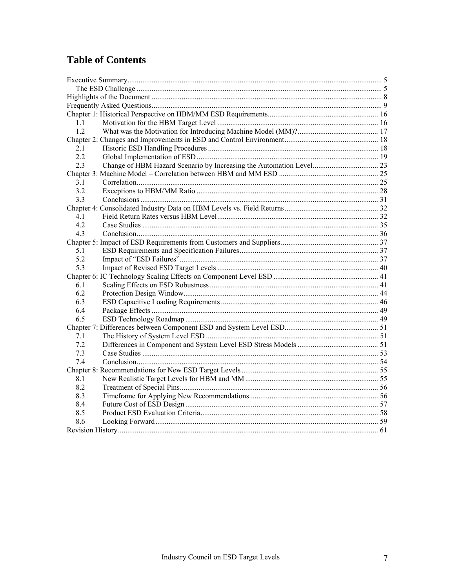## **Table of Contents**

| 11  |  |
|-----|--|
| 1.2 |  |
|     |  |
| 2.1 |  |
| 2.2 |  |
| 2.3 |  |
|     |  |
| 3.1 |  |
| 3.2 |  |
| 3.3 |  |
|     |  |
| 41  |  |
| 4.2 |  |
| 4.3 |  |
|     |  |
| 5.1 |  |
| 5.2 |  |
| 5.3 |  |
|     |  |
| 61  |  |
| 6.2 |  |
| 6.3 |  |
| 6.4 |  |
| 6.5 |  |
|     |  |
| 7.1 |  |
| 7.2 |  |
| 7.3 |  |
| 7.4 |  |
|     |  |
| 8.1 |  |
| 8.2 |  |
| 8.3 |  |
| 8.4 |  |
| 8.5 |  |
| 8.6 |  |
|     |  |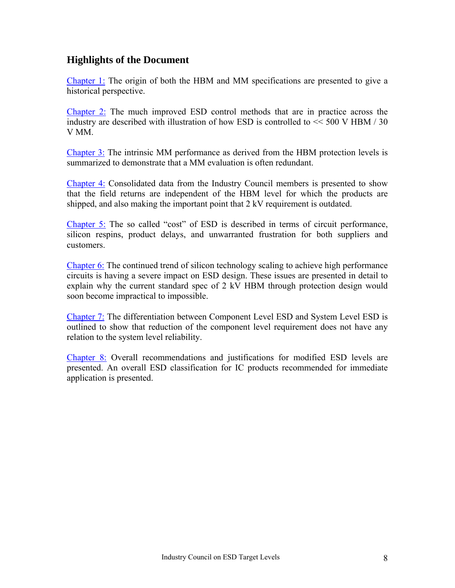### **Highlights of the Document**

[Chapter 1:](#page-15-0) The origin of both the HBM and MM specifications are presented to give a historical perspective.

[Chapter 2:](#page-17-0) The much improved ESD control methods that are in practice across the industry are described with illustration of how ESD is controlled to << 500 V HBM / 30 V MM.

[Chapter 3:](#page-24-0) The intrinsic MM performance as derived from the HBM protection levels is summarized to demonstrate that a MM evaluation is often redundant.

[Chapter 4:](#page-31-0) Consolidated data from the Industry Council members is presented to show that the field returns are independent of the HBM level for which the products are shipped, and also making the important point that 2 kV requirement is outdated.

[Chapter 5:](#page-36-0) The so called "cost" of ESD is described in terms of circuit performance, silicon respins, product delays, and unwarranted frustration for both suppliers and customers.

[Chapter 6:](#page-40-0) The continued trend of silicon technology scaling to achieve high performance circuits is having a severe impact on ESD design. These issues are presented in detail to explain why the current standard spec of 2 kV HBM through protection design would soon become impractical to impossible.

[Chapter 7:](#page-50-0) The differentiation between Component Level ESD and System Level ESD is outlined to show that reduction of the component level requirement does not have any relation to the system level reliability.

[Chapter 8:](#page-54-0) Overall recommendations and justifications for modified ESD levels are presented. An overall ESD classification for IC products recommended for immediate application is presented.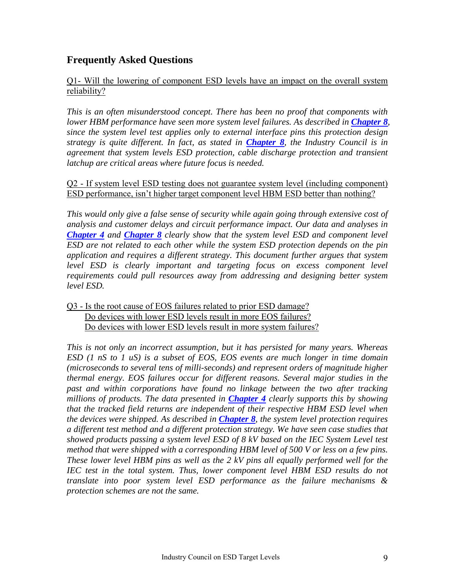### **Frequently Asked Questions**

#### Q1- Will the lowering of component ESD levels have an impact on the overall system reliability?

*This is an often misunderstood concept. There has been no proof that components with lower HBM performance have seen more system level failures. As described in [Chapter 8](#page-54-0), since the system level test applies only to external interface pins this protection design strategy is quite different. In fact, as stated in [Chapter 8](#page-54-0), the Industry Council is in agreement that system levels ESD protection, cable discharge protection and transient latchup are critical areas where future focus is needed.* 

#### Q2 - If system level ESD testing does not guarantee system level (including component) ESD performance, isn't higher target component level HBM ESD better than nothing?

*This would only give a false sense of security while again going through extensive cost of analysis and customer delays and circuit performance impact. Our data and analyses in [Chapter 4](#page-31-0) and [Chapter 8](#page-54-0) clearly show that the system level ESD and component level ESD are not related to each other while the system ESD protection depends on the pin application and requires a different strategy. This document further argues that system level ESD is clearly important and targeting focus on excess component level requirements could pull resources away from addressing and designing better system level ESD.* 

#### Q3 - Is the root cause of EOS failures related to prior ESD damage? Do devices with lower ESD levels result in more EOS failures? Do devices with lower ESD levels result in more system failures?

*This is not only an incorrect assumption, but it has persisted for many years. Whereas ESD (1 nS to 1 uS) is a subset of EOS, EOS events are much longer in time domain (microseconds to several tens of milli-seconds) and represent orders of magnitude higher thermal energy. EOS failures occur for different reasons. Several major studies in the past and within corporations have found no linkage between the two after tracking millions of products. The data presented in [Chapter 4](#page-31-0) clearly supports this by showing that the tracked field returns are independent of their respective HBM ESD level when the devices were shipped. As described in [Chapter 8](#page-54-0), the system level protection requires a different test method and a different protection strategy. We have seen case studies that showed products passing a system level ESD of 8 kV based on the IEC System Level test method that were shipped with a corresponding HBM level of 500 V or less on a few pins. These lower level HBM pins as well as the 2 kV pins all equally performed well for the IEC test in the total system. Thus, lower component level HBM ESD results do not translate into poor system level ESD performance as the failure mechanisms & protection schemes are not the same.*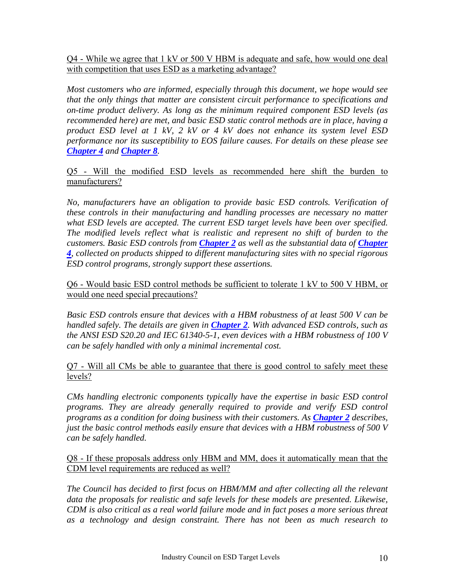Q4 - While we agree that 1 kV or 500 V HBM is adequate and safe, how would one deal with competition that uses ESD as a marketing advantage?

*Most customers who are informed, especially through this document, we hope would see that the only things that matter are consistent circuit performance to specifications and on-time product delivery. As long as the minimum required component ESD levels (as recommended here) are met, and basic ESD static control methods are in place, having a product ESD level at 1 kV, 2 kV or 4 kV does not enhance its system level ESD performance nor its susceptibility to EOS failure causes. For details on these please see [Chapter 4](#page-31-0) and [Chapter 8](#page-54-0).* 

#### Q5 - Will the modified ESD levels as recommended here shift the burden to manufacturers?

*No, manufacturers have an obligation to provide basic ESD controls. Verification of these controls in their manufacturing and handling processes are necessary no matter what ESD levels are accepted. The current ESD target levels have been over specified. The modified levels reflect what is realistic and represent no shift of burden to the customers. Basic ESD controls from Chapter 2 as well as the substantial data of Chapter 4, collected on products shipped to different manufacturing sites with no special rigorous ESD control programs, strongly support these assertions.* 

Q6 - Would basic ESD control methods be sufficient to tolerate 1 kV to 500 V HBM, or would one need special precautions?

*Basic ESD controls ensure that devices with a HBM robustness of at least 500 V can be handled safely. The details are given in [Chapter 2](#page-16-0). With advanced ESD controls, such as the ANSI ESD S20.20 and IEC 61340-5-1, even devices with a HBM robustness of 100 V can be safely handled with only a minimal incremental cost.* 

Q7 - Will all CMs be able to guarantee that there is good control to safely meet these levels?

*CMs handling electronic components typically have the expertise in basic ESD control programs. They are already generally required to provide and verify ESD control programs as a condition for doing business with their customers. As [Chapter 2](#page-17-0) describes, just the basic control methods easily ensure that devices with a HBM robustness of 500 V can be safely handled.* 

Q8 - If these proposals address only HBM and MM, does it automatically mean that the CDM level requirements are reduced as well?

*The Council has decided to first focus on HBM/MM and after collecting all the relevant data the proposals for realistic and safe levels for these models are presented. Likewise, CDM is also critical as a real world failure mode and in fact poses a more serious threat as a technology and design constraint. There has not been as much research to*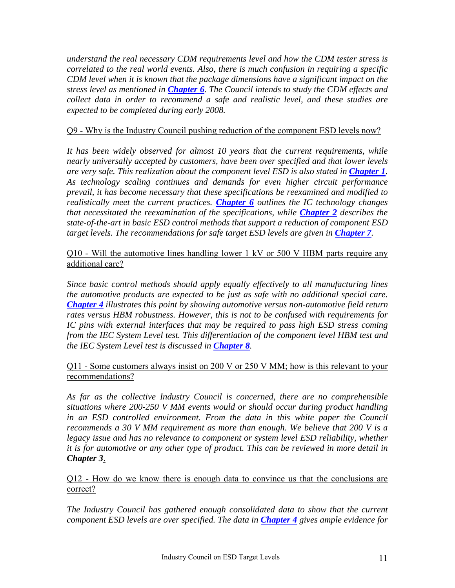*understand the real necessary CDM requirements level and how the CDM tester stress is correlated to the real world events. Also, there is much confusion in requiring a specific CDM level when it is known that the package dimensions have a significant impact on the stress level as mentioned in [Chapter 6](#page-40-0). The Council intends to study the CDM effects and collect data in order to recommend a safe and realistic level, and these studies are expected to be completed during early 2008.* 

#### Q9 - Why is the Industry Council pushing reduction of the component ESD levels now?

*It has been widely observed for almost 10 years that the current requirements, while nearly universally accepted by customers, have been over specified and that lower levels are very safe. This realization about the component level ESD is also stated in [Chapter 1](#page-15-0). As technology scaling continues and demands for even higher circuit performance prevail, it has become necessary that these specifications be reexamined and modified to realistically meet the current practices. [Chapter 6](#page-40-0) outlines the IC technology changes that necessitated the reexamination of the specifications, while [Chapter 2](#page-17-0) describes the state-of-the-art in basic ESD control methods that support a reduction of component ESD target levels. The recommendations for safe target ESD levels are given in [Chapter 7](#page-50-0).* 

Q10 - Will the automotive lines handling lower 1 kV or 500 V HBM parts require any additional care?

*Since basic control methods should apply equally effectively to all manufacturing lines the automotive products are expected to be just as safe with no additional special care. [Chapter 4](#page-31-0) illustrates this point by showing automotive versus non-automotive field return rates versus HBM robustness. However, this is not to be confused with requirements for IC pins with external interfaces that may be required to pass high ESD stress coming from the IEC System Level test. This differentiation of the component level HBM test and the IEC System Level test is discussed in [Chapter 8](#page-54-0).* 

Q11 - Some customers always insist on 200 V or 250 V MM; how is this relevant to your recommendations?

*As far as the collective Industry Council is concerned, there are no comprehensible situations where 200-250 V MM events would or should occur during product handling in an ESD controlled environment. From the data in this white paper the Council recommends a 30 V MM requirement as more than enough. We believe that 200 V is a legacy issue and has no relevance to component or system level ESD reliability, whether it is for automotive or any other type of product. This can be reviewed in more detail in Chapter 3*.

Q12 - How do we know there is enough data to convince us that the conclusions are correct?

*The Industry Council has gathered enough consolidated data to show that the current component ESD levels are over specified. The data in [Chapter 4](#page-31-0) gives ample evidence for*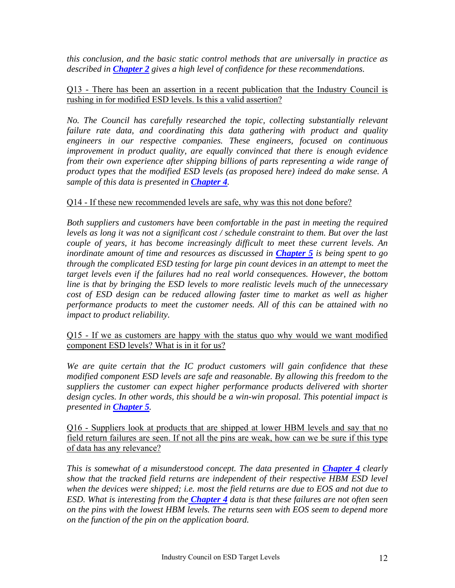*this conclusion, and the basic static control methods that are universally in practice as described in [Chapter 2](#page-17-0) gives a high level of confidence for these recommendations.* 

#### Q13 - There has been an assertion in a recent publication that the Industry Council is rushing in for modified ESD levels. Is this a valid assertion?

*No. The Council has carefully researched the topic, collecting substantially relevant failure rate data, and coordinating this data gathering with product and quality engineers in our respective companies. These engineers, focused on continuous improvement in product quality, are equally convinced that there is enough evidence from their own experience after shipping billions of parts representing a wide range of product types that the modified ESD levels (as proposed here) indeed do make sense. A sample of this data is presented in [Chapter 4](#page-31-0).* 

#### Q14 - If these new recommended levels are safe, why was this not done before?

*Both suppliers and customers have been comfortable in the past in meeting the required levels as long it was not a significant cost / schedule constraint to them. But over the last couple of years, it has become increasingly difficult to meet these current levels. An inordinate amount of time and resources as discussed in [Chapter 5](#page-36-0) is being spent to go through the complicated ESD testing for large pin count devices in an attempt to meet the target levels even if the failures had no real world consequences. However, the bottom line is that by bringing the ESD levels to more realistic levels much of the unnecessary cost of ESD design can be reduced allowing faster time to market as well as higher performance products to meet the customer needs. All of this can be attained with no impact to product reliability.* 

Q15 - If we as customers are happy with the status quo why would we want modified component ESD levels? What is in it for us?

*We are quite certain that the IC product customers will gain confidence that these modified component ESD levels are safe and reasonable. By allowing this freedom to the suppliers the customer can expect higher performance products delivered with shorter design cycles. In other words, this should be a win-win proposal. This potential impact is presented in [Chapter 5](#page-36-0).* 

Q16 - Suppliers look at products that are shipped at lower HBM levels and say that no field return failures are seen. If not all the pins are weak, how can we be sure if this type of data has any relevance?

*This is somewhat of a misunderstood concept. The data presented in <i>[Chapter 4](#page-31-0)* clearly *show that the tracked field returns are independent of their respective HBM ESD level when the devices were shipped; i.e. most the field returns are due to EOS and not due to ESD. What is interesting from the [Chapter 4](#page-31-0) data is that these failures are not often seen on the pins with the lowest HBM levels. The returns seen with EOS seem to depend more on the function of the pin on the application board.*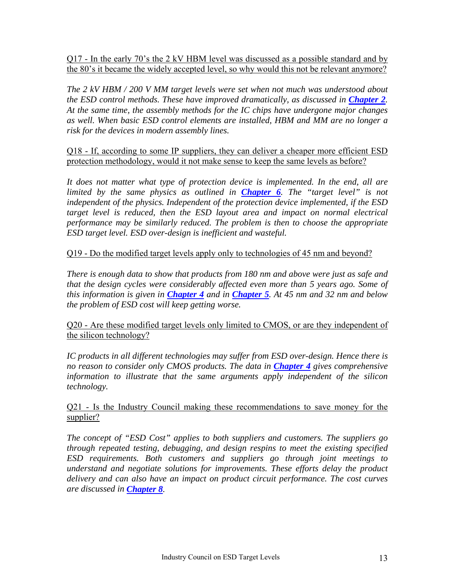Q17 - In the early 70's the 2 kV HBM level was discussed as a possible standard and by the 80's it became the widely accepted level, so why would this not be relevant anymore?

*The 2 kV HBM / 200 V MM target levels were set when not much was understood about the ESD control methods. These have improved dramatically, as discussed in [Chapter 2](#page-17-0). At the same time, the assembly methods for the IC chips have undergone major changes as well. When basic ESD control elements are installed, HBM and MM are no longer a risk for the devices in modern assembly lines.* 

Q18 - If, according to some IP suppliers, they can deliver a cheaper more efficient ESD protection methodology, would it not make sense to keep the same levels as before?

*It does not matter what type of protection device is implemented. In the end, all are limited by the same physics as outlined in [Chapter 6](#page-40-0). The "target level" is not independent of the physics. Independent of the protection device implemented, if the ESD*  target level is reduced, then the ESD layout area and impact on normal electrical *performance may be similarly reduced. The problem is then to choose the appropriate ESD target level. ESD over-design is inefficient and wasteful.* 

Q19 - Do the modified target levels apply only to technologies of 45 nm and beyond?

*There is enough data to show that products from 180 nm and above were just as safe and that the design cycles were considerably affected even more than 5 years ago. Some of this information is given in [Chapter 4](#page-31-0) and in [Chapter 5](#page-36-0). At 45 nm and 32 nm and below the problem of ESD cost will keep getting worse.* 

Q20 - Are these modified target levels only limited to CMOS, or are they independent of the silicon technology?

*IC products in all different technologies may suffer from ESD over-design. Hence there is no reason to consider only CMOS products. The data in [Chapter 4](#page-31-0) gives comprehensive information to illustrate that the same arguments apply independent of the silicon technology.* 

#### Q21 - Is the Industry Council making these recommendations to save money for the supplier?

*The concept of "ESD Cost" applies to both suppliers and customers. The suppliers go through repeated testing, debugging, and design respins to meet the existing specified ESD requirements. Both customers and suppliers go through joint meetings to understand and negotiate solutions for improvements. These efforts delay the product delivery and can also have an impact on product circuit performance. The cost curves are discussed in [Chapter 8](#page-54-0).*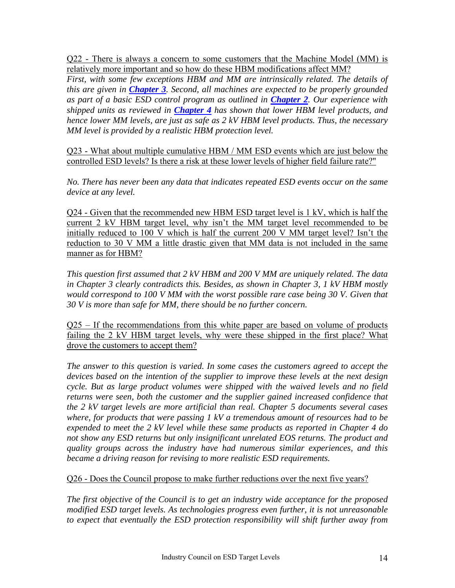Q22 - There is always a concern to some customers that the Machine Model (MM) is relatively more important and so how do these HBM modifications affect MM?

*First, with some few exceptions HBM and MM are intrinsically related. The details of this are given in [Chapter 3](#page-23-0). Second, all machines are expected to be properly grounded as part of a basic ESD control program as outlined in [Chapter 2](#page-17-0). Our experience with shipped units as reviewed in [Chapter 4](#page-31-0) has shown that lower HBM level products, and hence lower MM levels, are just as safe as 2 kV HBM level products. Thus, the necessary MM level is provided by a realistic HBM protection level.* 

Q23 - What about multiple cumulative HBM / MM ESD events which are just below the controlled ESD levels? Is there a risk at these lower levels of higher field failure rate?"

*No. There has never been any data that indicates repeated ESD events occur on the same device at any level.* 

Q24 - Given that the recommended new HBM ESD target level is 1 kV, which is half the current 2 kV HBM target level, why isn't the MM target level recommended to be initially reduced to 100 V which is half the current 200 V MM target level? Isn't the reduction to 30 V MM a little drastic given that MM data is not included in the same manner as for HBM?

*This question first assumed that 2 kV HBM and 200 V MM are uniquely related. The data in Chapter 3 clearly contradicts this. Besides, as shown in Chapter 3, 1 kV HBM mostly would correspond to 100 V MM with the worst possible rare case being 30 V. Given that 30 V is more than safe for MM, there should be no further concern.* 

 $Q25 - If the recommendations from this white paper are based on volume of products$ failing the 2 kV HBM target levels, why were these shipped in the first place? What drove the customers to accept them?

*The answer to this question is varied. In some cases the customers agreed to accept the devices based on the intention of the supplier to improve these levels at the next design cycle. But as large product volumes were shipped with the waived levels and no field returns were seen, both the customer and the supplier gained increased confidence that the 2 kV target levels are more artificial than real. Chapter 5 documents several cases where, for products that were passing 1 kV a tremendous amount of resources had to be expended to meet the 2 kV level while these same products as reported in Chapter 4 do not show any ESD returns but only insignificant unrelated EOS returns. The product and quality groups across the industry have had numerous similar experiences, and this became a driving reason for revising to more realistic ESD requirements.* 

Q26 - Does the Council propose to make further reductions over the next five years?

*The first objective of the Council is to get an industry wide acceptance for the proposed modified ESD target levels. As technologies progress even further, it is not unreasonable to expect that eventually the ESD protection responsibility will shift further away from*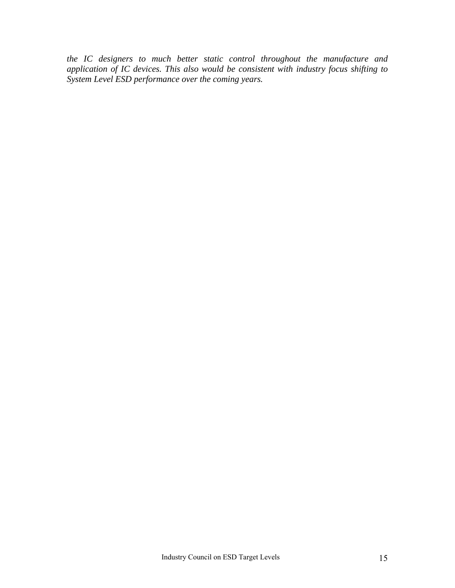*the IC designers to much better static control throughout the manufacture and application of IC devices. This also would be consistent with industry focus shifting to System Level ESD performance over the coming years.*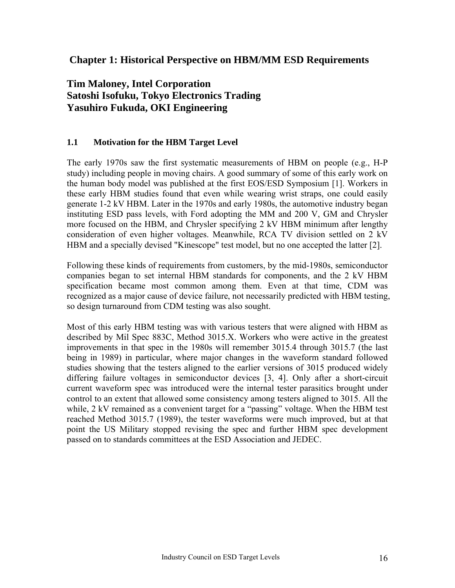### <span id="page-15-0"></span> **Chapter 1: Historical Perspective on HBM/MM ESD Requirements**

### **Tim Maloney, Intel Corporation Satoshi Isofuku, Tokyo Electronics Trading Yasuhiro Fukuda, OKI Engineering**

#### **1.1 Motivation for the HBM Target Level**

The early 1970s saw the first systematic measurements of HBM on people (e.g., H-P study) including people in moving chairs. A good summary of some of this early work on the human body model was published at the first EOS/ESD Symposium [1]. Workers in these early HBM studies found that even while wearing wrist straps, one could easily generate 1-2 kV HBM. Later in the 1970s and early 1980s, the automotive industry began instituting ESD pass levels, with Ford adopting the MM and 200 V, GM and Chrysler more focused on the HBM, and Chrysler specifying 2 kV HBM minimum after lengthy consideration of even higher voltages. Meanwhile, RCA TV division settled on 2 kV HBM and a specially devised "Kinescope" test model, but no one accepted the latter [2].

Following these kinds of requirements from customers, by the mid-1980s, semiconductor companies began to set internal HBM standards for components, and the 2 kV HBM specification became most common among them. Even at that time, CDM was recognized as a major cause of device failure, not necessarily predicted with HBM testing, so design turnaround from CDM testing was also sought.

Most of this early HBM testing was with various testers that were aligned with HBM as described by Mil Spec 883C, Method 3015.X. Workers who were active in the greatest improvements in that spec in the 1980s will remember 3015.4 through 3015.7 (the last being in 1989) in particular, where major changes in the waveform standard followed studies showing that the testers aligned to the earlier versions of 3015 produced widely differing failure voltages in semiconductor devices [3, 4]. Only after a short-circuit current waveform spec was introduced were the internal tester parasitics brought under control to an extent that allowed some consistency among testers aligned to 3015. All the while, 2 kV remained as a convenient target for a "passing" voltage. When the HBM test reached Method 3015.7 (1989), the tester waveforms were much improved, but at that point the US Military stopped revising the spec and further HBM spec development passed on to standards committees at the ESD Association and JEDEC.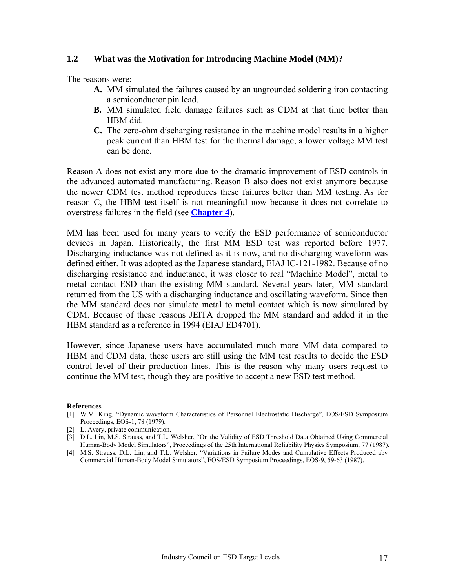#### <span id="page-16-0"></span>**1.2 What was the Motivation for Introducing Machine Model (MM)?**

The reasons were:

- **A.** MM simulated the failures caused by an ungrounded soldering iron contacting a semiconductor pin lead.
- **B.** MM simulated field damage failures such as CDM at that time better than HBM did.
- **C.** The zero-ohm discharging resistance in the machine model results in a higher peak current than HBM test for the thermal damage, a lower voltage MM test can be done.

Reason A does not exist any more due to the dramatic improvement of ESD controls in the advanced automated manufacturing. Reason B also does not exist anymore because the newer CDM test method reproduces these failures better than MM testing. As for reason C, the HBM test itself is not meaningful now because it does not correlate to overstress failures in the field (see **[Chapter 4](#page-31-0)**).

MM has been used for many years to verify the ESD performance of semiconductor devices in Japan. Historically, the first MM ESD test was reported before 1977. Discharging inductance was not defined as it is now, and no discharging waveform was defined either. It was adopted as the Japanese standard, EIAJ IC-121-1982. Because of no discharging resistance and inductance, it was closer to real "Machine Model", metal to metal contact ESD than the existing MM standard. Several years later, MM standard returned from the US with a discharging inductance and oscillating waveform. Since then the MM standard does not simulate metal to metal contact which is now simulated by CDM. Because of these reasons JEITA dropped the MM standard and added it in the HBM standard as a reference in 1994 (EIAJ ED4701).

However, since Japanese users have accumulated much more MM data compared to HBM and CDM data, these users are still using the MM test results to decide the ESD control level of their production lines. This is the reason why many users request to continue the MM test, though they are positive to accept a new ESD test method.

#### **References**

- [1] W.M. King, "Dynamic waveform Characteristics of Personnel Electrostatic Discharge", EOS/ESD Symposium Proceedings, EOS-1, 78 (1979).
- [2] L. Avery, private communication.
- [3] D.L. Lin, M.S. Strauss, and T.L. Welsher, "On the Validity of ESD Threshold Data Obtained Using Commercial Human-Body Model Simulators", Proceedings of the 25th International Reliability Physics Symposium, 77 (1987).
- [4] M.S. Strauss, D.L. Lin, and T.L. Welsher, "Variations in Failure Modes and Cumulative Effects Produced aby Commercial Human-Body Model Simulators", EOS/ESD Symposium Proceedings, EOS-9, 59-63 (1987).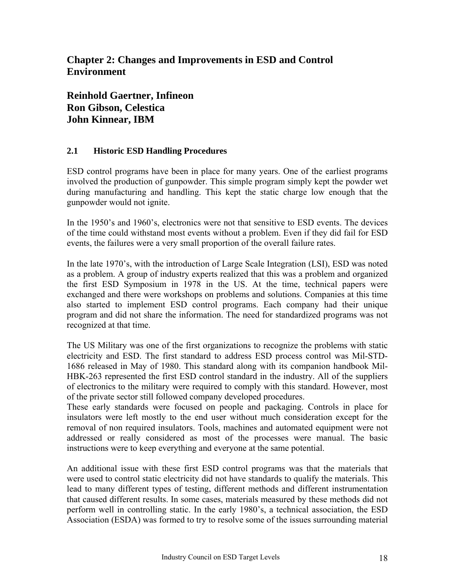### <span id="page-17-0"></span>**Chapter 2: Changes and Improvements in ESD and Control Environment**

**Reinhold Gaertner, Infineon Ron Gibson, Celestica John Kinnear, IBM** 

### **2.1 Historic ESD Handling Procedures**

ESD control programs have been in place for many years. One of the earliest programs involved the production of gunpowder. This simple program simply kept the powder wet during manufacturing and handling. This kept the static charge low enough that the gunpowder would not ignite.

In the 1950's and 1960's, electronics were not that sensitive to ESD events. The devices of the time could withstand most events without a problem. Even if they did fail for ESD events, the failures were a very small proportion of the overall failure rates.

In the late 1970's, with the introduction of Large Scale Integration (LSI), ESD was noted as a problem. A group of industry experts realized that this was a problem and organized the first ESD Symposium in 1978 in the US. At the time, technical papers were exchanged and there were workshops on problems and solutions. Companies at this time also started to implement ESD control programs. Each company had their unique program and did not share the information. The need for standardized programs was not recognized at that time.

The US Military was one of the first organizations to recognize the problems with static electricity and ESD. The first standard to address ESD process control was Mil-STD-1686 released in May of 1980. This standard along with its companion handbook Mil-HBK-263 represented the first ESD control standard in the industry. All of the suppliers of electronics to the military were required to comply with this standard. However, most of the private sector still followed company developed procedures.

These early standards were focused on people and packaging. Controls in place for insulators were left mostly to the end user without much consideration except for the removal of non required insulators. Tools, machines and automated equipment were not addressed or really considered as most of the processes were manual. The basic instructions were to keep everything and everyone at the same potential.

An additional issue with these first ESD control programs was that the materials that were used to control static electricity did not have standards to qualify the materials. This lead to many different types of testing, different methods and different instrumentation that caused different results. In some cases, materials measured by these methods did not perform well in controlling static. In the early 1980's, a technical association, the ESD Association (ESDA) was formed to try to resolve some of the issues surrounding material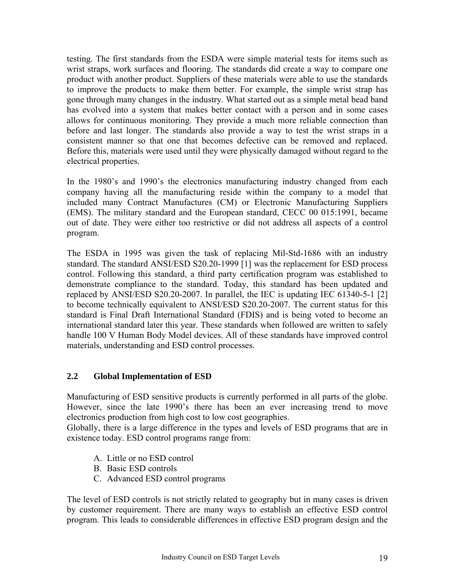testing. The first standards from the ESDA were simple material tests for items such as wrist straps, work surfaces and flooring. The standards did create a way to compare one product with another product. Suppliers of these materials were able to use the standards to improve the products to make them better. For example, the simple wrist strap has gone through many changes in the industry. What started out as a simple metal bead band has evolved into a system that makes better contact with a person and in some cases allows for continuous monitoring. They provide a much more reliable connection than before and last longer. The standards also provide a way to test the wrist straps in a consistent manner so that one that becomes defective can be removed and replaced. Before this, materials were used until they were physically damaged without regard to the electrical properties.

In the 1980's and 1990's the electronics manufacturing industry changed from each company having all the manufacturing reside within the company to a model that included many Contract Manufactures (CM) or Electronic Manufacturing Suppliers (EMS). The military standard and the European standard, CECC 00 015:1991, became out of date. They were either too restrictive or did not address all aspects of a control program.

The ESDA in 1995 was given the task of replacing Mil-Std-1686 with an industry standard. The standard ANSI/ESD S20.20-1999 [1] was the replacement for ESD process control. Following this standard, a third party certification program was established to demonstrate compliance to the standard. Today, this standard has been updated and replaced by ANSI/ESD S20.20-2007. In parallel, the IEC is updating IEC 61340-5-1 [2] to become technically equivalent to ANSI/ESD S20.20-2007. The current status for this standard is Final Draft International Standard (FDIS) and is being voted to become an international standard later this year. These standards when followed are written to safely handle 100 V Human Body Model devices. All of these standards have improved control materials, understanding and ESD control processes.

#### **2.2 Global Implementation of ESD**

Manufacturing of ESD sensitive products is currently performed in all parts of the globe. However, since the late 1990's there has been an ever increasing trend to move electronics production from high cost to low cost geographies.

Globally, there is a large difference in the types and levels of ESD programs that are in existence today. ESD control programs range from:

- A. Little or no ESD control
- B. Basic ESD controls
- C. Advanced ESD control programs

The level of ESD controls is not strictly related to geography but in many cases is driven by customer requirement. There are many ways to establish an effective ESD control program. This leads to considerable differences in effective ESD program design and the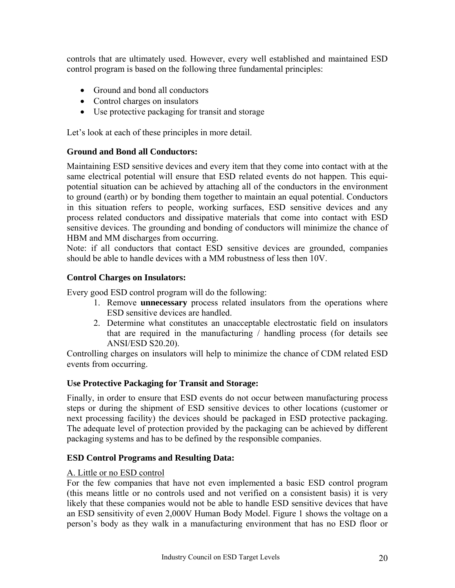controls that are ultimately used. However, every well established and maintained ESD control program is based on the following three fundamental principles:

- Ground and bond all conductors
- Control charges on insulators
- Use protective packaging for transit and storage

Let's look at each of these principles in more detail.

#### **Ground and Bond all Conductors:**

Maintaining ESD sensitive devices and every item that they come into contact with at the same electrical potential will ensure that ESD related events do not happen. This equipotential situation can be achieved by attaching all of the conductors in the environment to ground (earth) or by bonding them together to maintain an equal potential. Conductors in this situation refers to people, working surfaces, ESD sensitive devices and any process related conductors and dissipative materials that come into contact with ESD sensitive devices. The grounding and bonding of conductors will minimize the chance of HBM and MM discharges from occurring.

Note: if all conductors that contact ESD sensitive devices are grounded, companies should be able to handle devices with a MM robustness of less then 10V.

#### **Control Charges on Insulators:**

Every good ESD control program will do the following:

- 1. Remove **unnecessary** process related insulators from the operations where ESD sensitive devices are handled.
- 2. Determine what constitutes an unacceptable electrostatic field on insulators that are required in the manufacturing / handling process (for details see ANSI/ESD S20.20).

Controlling charges on insulators will help to minimize the chance of CDM related ESD events from occurring.

#### **Use Protective Packaging for Transit and Storage:**

Finally, in order to ensure that ESD events do not occur between manufacturing process steps or during the shipment of ESD sensitive devices to other locations (customer or next processing facility) the devices should be packaged in ESD protective packaging. The adequate level of protection provided by the packaging can be achieved by different packaging systems and has to be defined by the responsible companies.

#### **ESD Control Programs and Resulting Data:**

#### A. Little or no ESD control

For the few companies that have not even implemented a basic ESD control program (this means little or no controls used and not verified on a consistent basis) it is very likely that these companies would not be able to handle ESD sensitive devices that have an ESD sensitivity of even 2,000V Human Body Model. Figure 1 shows the voltage on a person's body as they walk in a manufacturing environment that has no ESD floor or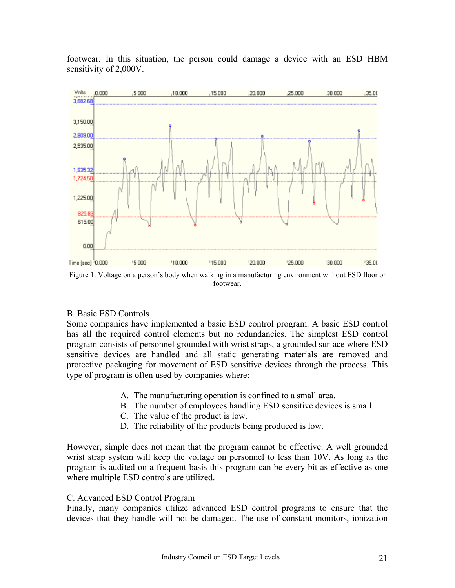

footwear. In this situation, the person could damage a device with an ESD HBM sensitivity of 2,000V.

Figure 1: Voltage on a person's body when walking in a manufacturing environment without ESD floor or footwear.

#### B. Basic ESD Controls

Some companies have implemented a basic ESD control program. A basic ESD control has all the required control elements but no redundancies. The simplest ESD control program consists of personnel grounded with wrist straps, a grounded surface where ESD sensitive devices are handled and all static generating materials are removed and protective packaging for movement of ESD sensitive devices through the process. This type of program is often used by companies where:

- A. The manufacturing operation is confined to a small area.
- B. The number of employees handling ESD sensitive devices is small.
- C. The value of the product is low.
- D. The reliability of the products being produced is low.

However, simple does not mean that the program cannot be effective. A well grounded wrist strap system will keep the voltage on personnel to less than 10V. As long as the program is audited on a frequent basis this program can be every bit as effective as one where multiple ESD controls are utilized.

#### C. Advanced ESD Control Program

Finally, many companies utilize advanced ESD control programs to ensure that the devices that they handle will not be damaged. The use of constant monitors, ionization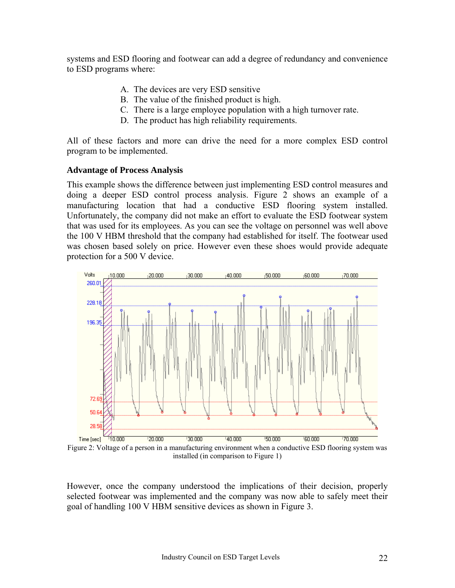systems and ESD flooring and footwear can add a degree of redundancy and convenience to ESD programs where:

- A. The devices are very ESD sensitive
- B. The value of the finished product is high.
- C. There is a large employee population with a high turnover rate.
- D. The product has high reliability requirements.

All of these factors and more can drive the need for a more complex ESD control program to be implemented.

#### **Advantage of Process Analysis**

This example shows the difference between just implementing ESD control measures and doing a deeper ESD control process analysis. Figure 2 shows an example of a manufacturing location that had a conductive ESD flooring system installed. Unfortunately, the company did not make an effort to evaluate the ESD footwear system that was used for its employees. As you can see the voltage on personnel was well above the 100 V HBM threshold that the company had established for itself. The footwear used was chosen based solely on price. However even these shoes would provide adequate protection for a 500 V device.



Figure 2: Voltage of a person in a manufacturing environment when a conductive ESD flooring system was installed (in comparison to Figure 1)

However, once the company understood the implications of their decision, properly selected footwear was implemented and the company was now able to safely meet their goal of handling 100 V HBM sensitive devices as shown in Figure 3.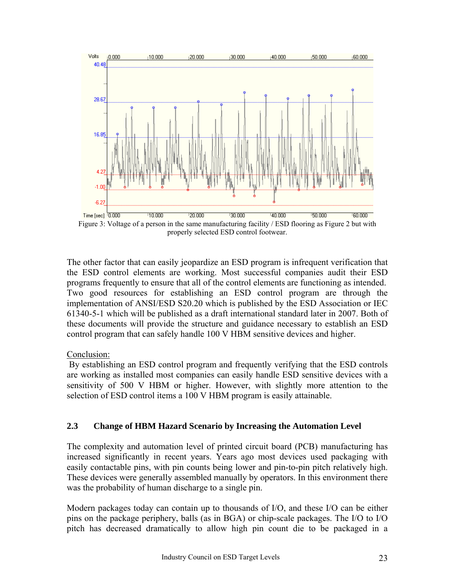

Figure 3: Voltage of a person in the same manufacturing facility / ESD flooring as Figure 2 but with properly selected ESD control footwear.

The other factor that can easily jeopardize an ESD program is infrequent verification that the ESD control elements are working. Most successful companies audit their ESD programs frequently to ensure that all of the control elements are functioning as intended. Two good resources for establishing an ESD control program are through the implementation of ANSI/ESD S20.20 which is published by the ESD Association or IEC 61340-5-1 which will be published as a draft international standard later in 2007. Both of these documents will provide the structure and guidance necessary to establish an ESD control program that can safely handle 100 V HBM sensitive devices and higher.

#### Conclusion:

 By establishing an ESD control program and frequently verifying that the ESD controls are working as installed most companies can easily handle ESD sensitive devices with a sensitivity of 500 V HBM or higher. However, with slightly more attention to the selection of ESD control items a 100 V HBM program is easily attainable.

### **2.3 Change of HBM Hazard Scenario by Increasing the Automation Level**

The complexity and automation level of printed circuit board (PCB) manufacturing has increased significantly in recent years. Years ago most devices used packaging with easily contactable pins, with pin counts being lower and pin-to-pin pitch relatively high. These devices were generally assembled manually by operators. In this environment there was the probability of human discharge to a single pin.

Modern packages today can contain up to thousands of I/O, and these I/O can be either pins on the package periphery, balls (as in BGA) or chip-scale packages. The I/O to I/O pitch has decreased dramatically to allow high pin count die to be packaged in a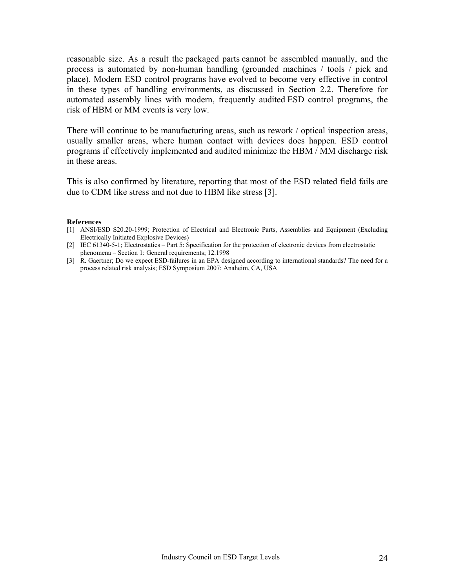<span id="page-23-0"></span>reasonable size. As a result the packaged parts cannot be assembled manually, and the process is automated by non-human handling (grounded machines / tools / pick and place). Modern ESD control programs have evolved to become very effective in control in these types of handling environments, as discussed in Section 2.2. Therefore for automated assembly lines with modern, frequently audited ESD control programs, the risk of HBM or MM events is very low.

There will continue to be manufacturing areas, such as rework / optical inspection areas, usually smaller areas, where human contact with devices does happen. ESD control programs if effectively implemented and audited minimize the HBM / MM discharge risk in these areas.

This is also confirmed by literature, reporting that most of the ESD related field fails are due to CDM like stress and not due to HBM like stress [3].

#### **References**

- [1] ANSI/ESD S20.20-1999; Protection of Electrical and Electronic Parts, Assemblies and Equipment (Excluding Electrically Initiated Explosive Devices)
- [2] IEC 61340-5-1; Electrostatics Part 5: Specification for the protection of electronic devices from electrostatic phenomena – Section 1: General requirements; 12.1998
- [3] R. Gaertner; Do we expect ESD-failures in an EPA designed according to international standards? The need for a process related risk analysis; ESD Symposium 2007; Anaheim, CA, USA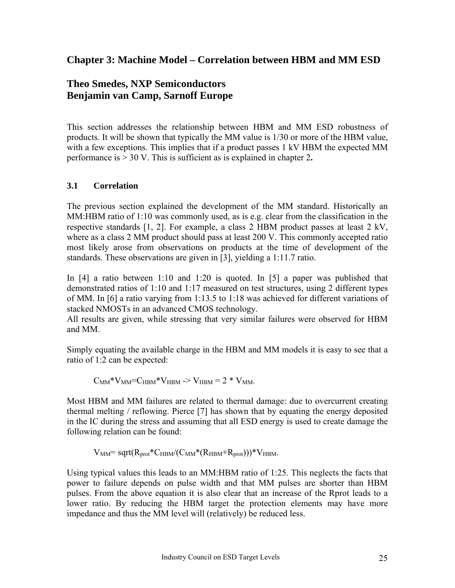### <span id="page-24-0"></span>**Chapter 3: Machine Model – Correlation between HBM and MM ESD**

### **Theo Smedes, NXP Semiconductors Benjamin van Camp, Sarnoff Europe**

This section addresses the relationship between HBM and MM ESD robustness of products. It will be shown that typically the MM value is 1/30 or more of the HBM value, with a few exceptions. This implies that if a product passes 1 kV HBM the expected MM performance is > 30 V. This is sufficient as is explained in chapter 2**.** 

### **3.1 Correlation**

The previous section explained the development of the MM standard. Historically an MM:HBM ratio of 1:10 was commonly used, as is e.g. clear from the classification in the respective standards [1, 2]. For example, a class 2 HBM product passes at least 2 kV, where as a class 2 MM product should pass at least 200 V. This commonly accepted ratio most likely arose from observations on products at the time of development of the standards. These observations are given in [3], yielding a 1:11.7 ratio.

In [4] a ratio between 1:10 and 1:20 is quoted. In [5] a paper was published that demonstrated ratios of 1:10 and 1:17 measured on test structures, using 2 different types of MM. In [6] a ratio varying from 1:13.5 to 1:18 was achieved for different variations of stacked NMOSTs in an advanced CMOS technology.

All results are given, while stressing that very similar failures were observed for HBM and MM.

Simply equating the available charge in the HBM and MM models it is easy to see that a ratio of 1:2 can be expected:

$$
C_{MM} * V_{MM} = C_{HBM} * V_{HBM} \to V_{HBM} = 2 * V_{MM}.
$$

Most HBM and MM failures are related to thermal damage: due to overcurrent creating thermal melting / reflowing. Pierce [7] has shown that by equating the energy deposited in the IC during the stress and assuming that all ESD energy is used to create damage the following relation can be found:

$$
V_{MM} = sqrt(R_{prot} * C_{HBM}/(C_{MM} * (R_{HBM} + R_{prot}))) * V_{HBM}.
$$

Using typical values this leads to an MM:HBM ratio of 1:25. This neglects the facts that power to failure depends on pulse width and that MM pulses are shorter than HBM pulses. From the above equation it is also clear that an increase of the Rprot leads to a lower ratio. By reducing the HBM target the protection elements may have more impedance and thus the MM level will (relatively) be reduced less.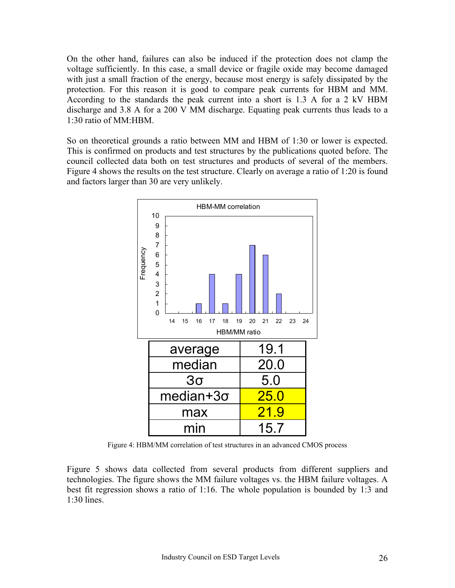On the other hand, failures can also be induced if the protection does not clamp the voltage sufficiently. In this case, a small device or fragile oxide may become damaged with just a small fraction of the energy, because most energy is safely dissipated by the protection. For this reason it is good to compare peak currents for HBM and MM. According to the standards the peak current into a short is 1.3 A for a 2 kV HBM discharge and 3.8 A for a 200 V MM discharge. Equating peak currents thus leads to a 1:30 ratio of MM:HBM.

So on theoretical grounds a ratio between MM and HBM of 1:30 or lower is expected. This is confirmed on products and test structures by the publications quoted before. The council collected data both on test structures and products of several of the members. Figure 4 shows the results on the test structure. Clearly on average a ratio of 1:20 is found and factors larger than 30 are very unlikely.



Figure 4: HBM/MM correlation of test structures in an advanced CMOS process

Figure 5 shows data collected from several products from different suppliers and technologies. The figure shows the MM failure voltages vs. the HBM failure voltages. A best fit regression shows a ratio of 1:16. The whole population is bounded by 1:3 and  $1:30$  lines.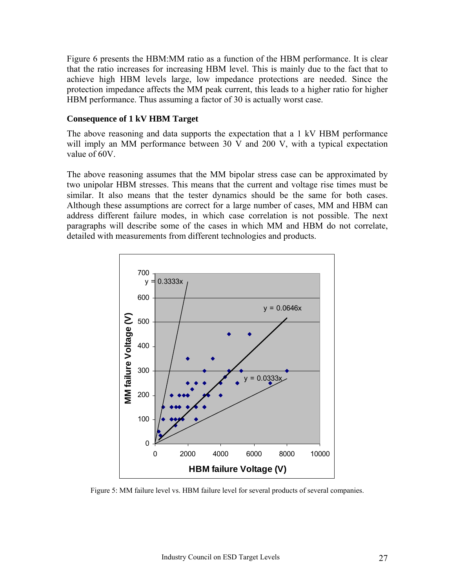Figure 6 presents the HBM:MM ratio as a function of the HBM performance. It is clear that the ratio increases for increasing HBM level. This is mainly due to the fact that to achieve high HBM levels large, low impedance protections are needed. Since the protection impedance affects the MM peak current, this leads to a higher ratio for higher HBM performance. Thus assuming a factor of 30 is actually worst case.

#### **Consequence of 1 kV HBM Target**

The above reasoning and data supports the expectation that a 1 kV HBM performance will imply an MM performance between 30 V and 200 V, with a typical expectation value of 60V.

The above reasoning assumes that the MM bipolar stress case can be approximated by two unipolar HBM stresses. This means that the current and voltage rise times must be similar. It also means that the tester dynamics should be the same for both cases. Although these assumptions are correct for a large number of cases, MM and HBM can address different failure modes, in which case correlation is not possible. The next paragraphs will describe some of the cases in which MM and HBM do not correlate, detailed with measurements from different technologies and products.



Figure 5: MM failure level vs. HBM failure level for several products of several companies.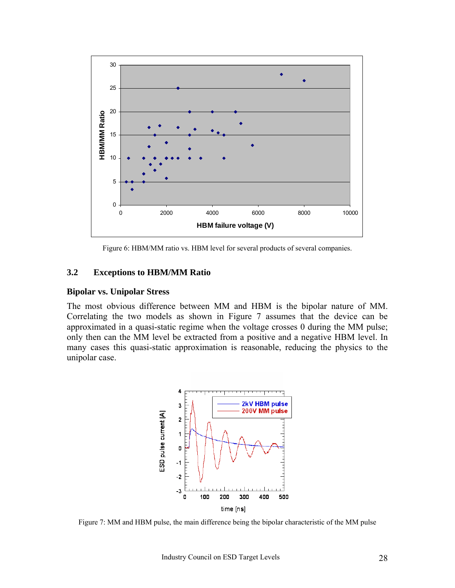

Figure 6: HBM/MM ratio vs. HBM level for several products of several companies.

#### **3.2 Exceptions to HBM/MM Ratio**

#### **Bipolar vs. Unipolar Stress**

The most obvious difference between MM and HBM is the bipolar nature of MM. Correlating the two models as shown in Figure 7 assumes that the device can be approximated in a quasi-static regime when the voltage crosses 0 during the MM pulse; only then can the MM level be extracted from a positive and a negative HBM level. In many cases this quasi-static approximation is reasonable, reducing the physics to the unipolar case.



Figure 7: MM and HBM pulse, the main difference being the bipolar characteristic of the MM pulse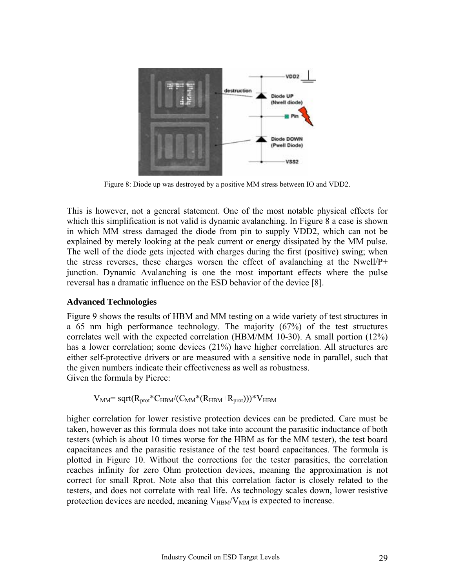

Figure 8: Diode up was destroyed by a positive MM stress between IO and VDD2.

This is however, not a general statement. One of the most notable physical effects for which this simplification is not valid is dynamic avalanching. In Figure 8 a case is shown in which MM stress damaged the diode from pin to supply VDD2, which can not be explained by merely looking at the peak current or energy dissipated by the MM pulse. The well of the diode gets injected with charges during the first (positive) swing; when the stress reverses, these charges worsen the effect of avalanching at the Nwell/P+ junction. Dynamic Avalanching is one the most important effects where the pulse reversal has a dramatic influence on the ESD behavior of the device [8].

#### **Advanced Technologies**

Figure 9 shows the results of HBM and MM testing on a wide variety of test structures in a 65 nm high performance technology. The majority (67%) of the test structures correlates well with the expected correlation (HBM/MM 10-30). A small portion (12%) has a lower correlation; some devices (21%) have higher correlation. All structures are either self-protective drivers or are measured with a sensitive node in parallel, such that the given numbers indicate their effectiveness as well as robustness. Given the formula by Pierce:

 $V_{MM}$ = sqrt $(R_{prot}*C_{HBM}/(C_{MM}* (R_{HBM}+R_{prot})))*V_{HBM}$ 

higher correlation for lower resistive protection devices can be predicted. Care must be taken, however as this formula does not take into account the parasitic inductance of both testers (which is about 10 times worse for the HBM as for the MM tester), the test board capacitances and the parasitic resistance of the test board capacitances. The formula is plotted in Figure 10. Without the corrections for the tester parasitics, the correlation reaches infinity for zero Ohm protection devices, meaning the approximation is not correct for small Rprot. Note also that this correlation factor is closely related to the testers, and does not correlate with real life. As technology scales down, lower resistive protection devices are needed, meaning  $V_{HBM}/V_{MM}$  is expected to increase.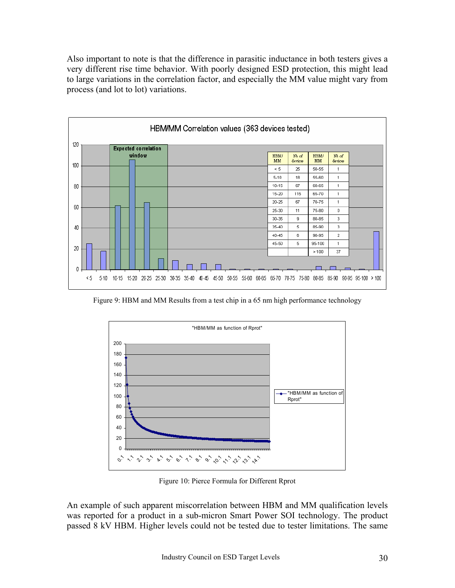Also important to note is that the difference in parasitic inductance in both testers gives a very different rise time behavior. With poorly designed ESD protection, this might lead to large variations in the correlation factor, and especially the MM value might vary from process (and lot to lot) variations.



Figure 9: HBM and MM Results from a test chip in a 65 nm high performance technology



Figure 10: Pierce Formula for Different Rprot

An example of such apparent miscorrelation between HBM and MM qualification levels was reported for a product in a sub-micron Smart Power SOI technology. The product passed 8 kV HBM. Higher levels could not be tested due to tester limitations. The same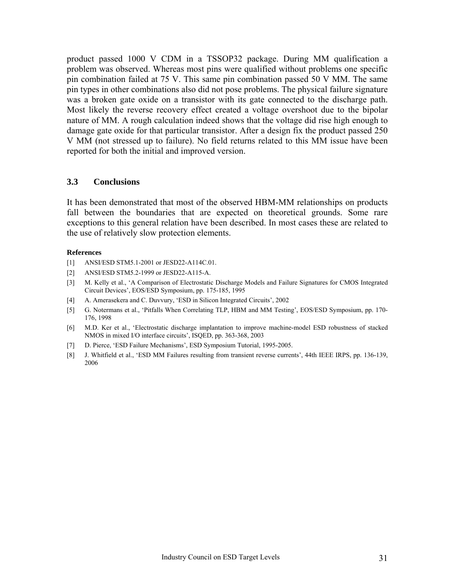product passed 1000 V CDM in a TSSOP32 package. During MM qualification a problem was observed. Whereas most pins were qualified without problems one specific pin combination failed at 75 V. This same pin combination passed 50 V MM. The same pin types in other combinations also did not pose problems. The physical failure signature was a broken gate oxide on a transistor with its gate connected to the discharge path. Most likely the reverse recovery effect created a voltage overshoot due to the bipolar nature of MM. A rough calculation indeed shows that the voltage did rise high enough to damage gate oxide for that particular transistor. After a design fix the product passed 250 V MM (not stressed up to failure). No field returns related to this MM issue have been reported for both the initial and improved version.

#### **3.3 Conclusions**

It has been demonstrated that most of the observed HBM-MM relationships on products fall between the boundaries that are expected on theoretical grounds. Some rare exceptions to this general relation have been described. In most cases these are related to the use of relatively slow protection elements.

#### **References**

- [1] ANSI/ESD STM5.1-2001 or JESD22-A114C.01.
- [2] ANSI/ESD STM5.2-1999 or JESD22-A115-A.
- [3] M. Kelly et al., 'A Comparison of Electrostatic Discharge Models and Failure Signatures for CMOS Integrated Circuit Devices', EOS/ESD Symposium, pp. 175-185, 1995
- [4] A. Amerasekera and C. Duvvury, 'ESD in Silicon Integrated Circuits', 2002
- [5] G. Notermans et al., 'Pitfalls When Correlating TLP, HBM and MM Testing', EOS/ESD Symposium, pp. 170- 176, 1998
- [6] M.D. Ker et al., 'Electrostatic discharge implantation to improve machine-model ESD robustness of stacked NMOS in mixed I/O interface circuits', ISQED, pp. 363-368, 2003
- [7] D. Pierce, 'ESD Failure Mechanisms', ESD Symposium Tutorial, 1995-2005.
- [8] J. Whitfield et al., 'ESD MM Failures resulting from transient reverse currents', 44th IEEE IRPS, pp. 136-139, 2006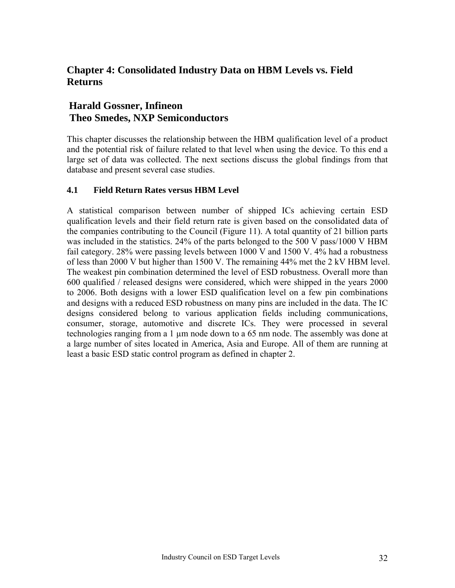### <span id="page-31-0"></span>**Chapter 4: Consolidated Industry Data on HBM Levels vs. Field Returns**

### **Harald Gossner, Infineon Theo Smedes, NXP Semiconductors**

This chapter discusses the relationship between the HBM qualification level of a product and the potential risk of failure related to that level when using the device. To this end a large set of data was collected. The next sections discuss the global findings from that database and present several case studies.

#### **4.1 Field Return Rates versus HBM Level**

A statistical comparison between number of shipped ICs achieving certain ESD qualification levels and their field return rate is given based on the consolidated data of the companies contributing to the Council (Figure 11). A total quantity of 21 billion parts was included in the statistics. 24% of the parts belonged to the 500 V pass/1000 V HBM fail category. 28% were passing levels between 1000 V and 1500 V. 4% had a robustness of less than 2000 V but higher than 1500 V. The remaining 44% met the 2 kV HBM level. The weakest pin combination determined the level of ESD robustness. Overall more than 600 qualified / released designs were considered, which were shipped in the years 2000 to 2006. Both designs with a lower ESD qualification level on a few pin combinations and designs with a reduced ESD robustness on many pins are included in the data. The IC designs considered belong to various application fields including communications, consumer, storage, automotive and discrete ICs. They were processed in several technologies ranging from a 1 µm node down to a 65 nm node. The assembly was done at a large number of sites located in America, Asia and Europe. All of them are running at least a basic ESD static control program as defined in chapter 2.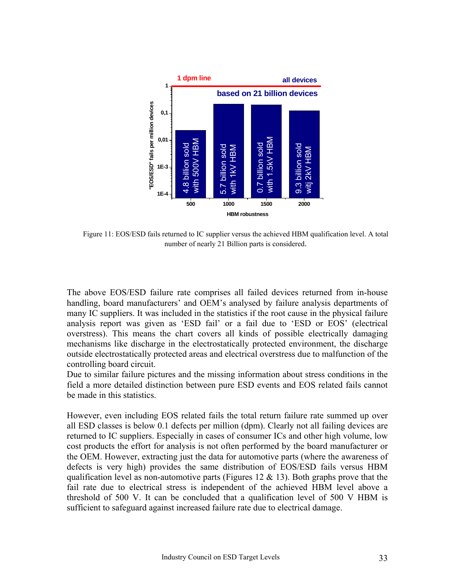

Figure 11: EOS/ESD fails returned to IC supplier versus the achieved HBM qualification level. A total number of nearly 21 Billion parts is considered.

The above EOS/ESD failure rate comprises all failed devices returned from in-house handling, board manufacturers' and OEM's analysed by failure analysis departments of many IC suppliers. It was included in the statistics if the root cause in the physical failure analysis report was given as 'ESD fail' or a fail due to 'ESD or EOS' (electrical overstress). This means the chart covers all kinds of possible electrically damaging mechanisms like discharge in the electrostatically protected environment, the discharge outside electrostatically protected areas and electrical overstress due to malfunction of the controlling board circuit.

Due to similar failure pictures and the missing information about stress conditions in the field a more detailed distinction between pure ESD events and EOS related fails cannot be made in this statistics.

However, even including EOS related fails the total return failure rate summed up over all ESD classes is below 0.1 defects per million (dpm). Clearly not all failing devices are returned to IC suppliers. Especially in cases of consumer ICs and other high volume, low cost products the effort for analysis is not often performed by the board manufacturer or the OEM. However, extracting just the data for automotive parts (where the awareness of defects is very high) provides the same distribution of EOS/ESD fails versus HBM qualification level as non-automotive parts (Figures 12  $\&$  13). Both graphs prove that the fail rate due to electrical stress is independent of the achieved HBM level above a threshold of 500 V. It can be concluded that a qualification level of 500 V HBM is sufficient to safeguard against increased failure rate due to electrical damage.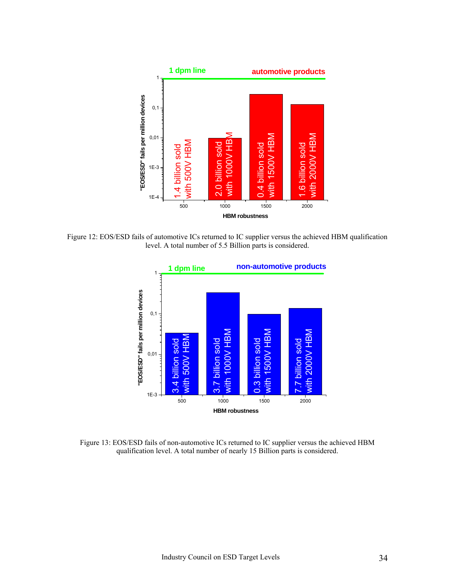

Figure 12: EOS/ESD fails of automotive ICs returned to IC supplier versus the achieved HBM qualification level. A total number of 5.5 Billion parts is considered.



Figure 13: EOS/ESD fails of non-automotive ICs returned to IC supplier versus the achieved HBM qualification level. A total number of nearly 15 Billion parts is considered.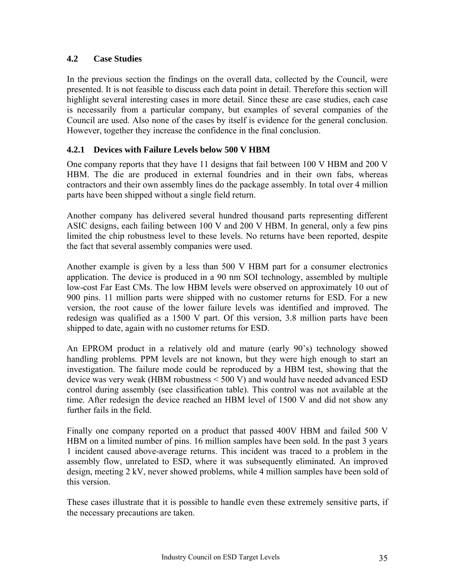#### **4.2 Case Studies**

In the previous section the findings on the overall data, collected by the Council, were presented. It is not feasible to discuss each data point in detail. Therefore this section will highlight several interesting cases in more detail. Since these are case studies, each case is necessarily from a particular company, but examples of several companies of the Council are used. Also none of the cases by itself is evidence for the general conclusion. However, together they increase the confidence in the final conclusion.

### **4.2.1 Devices with Failure Levels below 500 V HBM**

One company reports that they have 11 designs that fail between 100 V HBM and 200 V HBM. The die are produced in external foundries and in their own fabs, whereas contractors and their own assembly lines do the package assembly. In total over 4 million parts have been shipped without a single field return.

Another company has delivered several hundred thousand parts representing different ASIC designs, each failing between 100 V and 200 V HBM. In general, only a few pins limited the chip robustness level to these levels. No returns have been reported, despite the fact that several assembly companies were used.

Another example is given by a less than 500 V HBM part for a consumer electronics application. The device is produced in a 90 nm SOI technology, assembled by multiple low-cost Far East CMs. The low HBM levels were observed on approximately 10 out of 900 pins. 11 million parts were shipped with no customer returns for ESD. For a new version, the root cause of the lower failure levels was identified and improved. The redesign was qualified as a 1500 V part. Of this version, 3.8 million parts have been shipped to date, again with no customer returns for ESD.

An EPROM product in a relatively old and mature (early 90's) technology showed handling problems. PPM levels are not known, but they were high enough to start an investigation. The failure mode could be reproduced by a HBM test, showing that the device was very weak (HBM robustness < 500 V) and would have needed advanced ESD control during assembly (see classification table). This control was not available at the time. After redesign the device reached an HBM level of 1500 V and did not show any further fails in the field.

Finally one company reported on a product that passed 400V HBM and failed 500 V HBM on a limited number of pins. 16 million samples have been sold. In the past 3 years 1 incident caused above-average returns. This incident was traced to a problem in the assembly flow, unrelated to ESD, where it was subsequently eliminated. An improved design, meeting 2 kV, never showed problems, while 4 million samples have been sold of this version.

These cases illustrate that it is possible to handle even these extremely sensitive parts, if the necessary precautions are taken.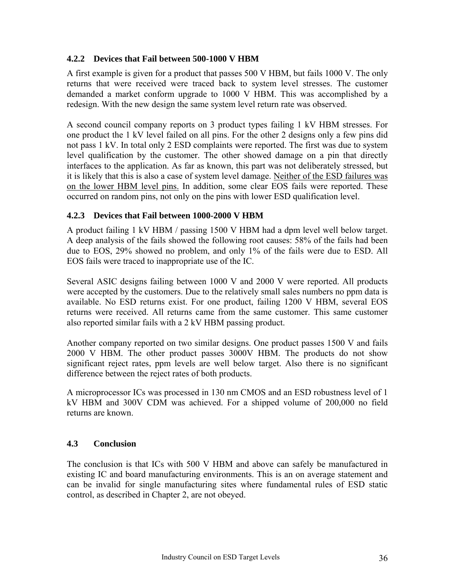#### **4.2.2 Devices that Fail between 500-1000 V HBM**

A first example is given for a product that passes 500 V HBM, but fails 1000 V. The only returns that were received were traced back to system level stresses. The customer demanded a market conform upgrade to 1000 V HBM. This was accomplished by a redesign. With the new design the same system level return rate was observed.

A second council company reports on 3 product types failing 1 kV HBM stresses. For one product the 1 kV level failed on all pins. For the other 2 designs only a few pins did not pass 1 kV. In total only 2 ESD complaints were reported. The first was due to system level qualification by the customer. The other showed damage on a pin that directly interfaces to the application. As far as known, this part was not deliberately stressed, but it is likely that this is also a case of system level damage. Neither of the ESD failures was on the lower HBM level pins. In addition, some clear EOS fails were reported. These occurred on random pins, not only on the pins with lower ESD qualification level.

#### **4.2.3 Devices that Fail between 1000-2000 V HBM**

A product failing 1 kV HBM / passing 1500 V HBM had a dpm level well below target. A deep analysis of the fails showed the following root causes: 58% of the fails had been due to EOS, 29% showed no problem, and only 1% of the fails were due to ESD. All EOS fails were traced to inappropriate use of the IC.

Several ASIC designs failing between 1000 V and 2000 V were reported. All products were accepted by the customers. Due to the relatively small sales numbers no ppm data is available. No ESD returns exist. For one product, failing 1200 V HBM, several EOS returns were received. All returns came from the same customer. This same customer also reported similar fails with a 2 kV HBM passing product.

Another company reported on two similar designs. One product passes 1500 V and fails 2000 V HBM. The other product passes 3000V HBM. The products do not show significant reject rates, ppm levels are well below target. Also there is no significant difference between the reject rates of both products.

A microprocessor ICs was processed in 130 nm CMOS and an ESD robustness level of 1 kV HBM and 300V CDM was achieved. For a shipped volume of 200,000 no field returns are known.

#### **4.3 Conclusion**

The conclusion is that ICs with 500 V HBM and above can safely be manufactured in existing IC and board manufacturing environments. This is an on average statement and can be invalid for single manufacturing sites where fundamental rules of ESD static control, as described in Chapter 2, are not obeyed.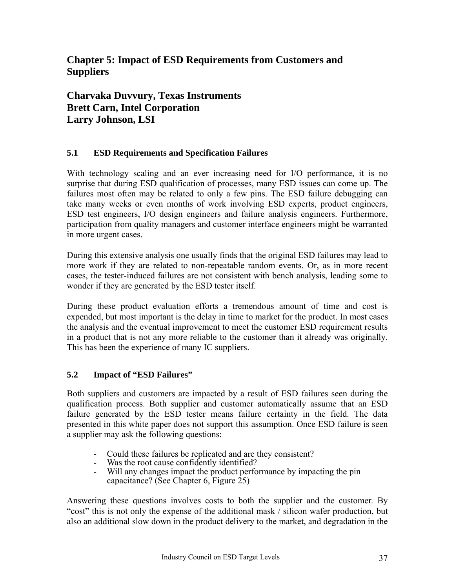### <span id="page-36-0"></span>**Chapter 5: Impact of ESD Requirements from Customers and Suppliers**

**Charvaka Duvvury, Texas Instruments Brett Carn, Intel Corporation Larry Johnson, LSI** 

### **5.1 ESD Requirements and Specification Failures**

With technology scaling and an ever increasing need for I/O performance, it is no surprise that during ESD qualification of processes, many ESD issues can come up. The failures most often may be related to only a few pins. The ESD failure debugging can take many weeks or even months of work involving ESD experts, product engineers, ESD test engineers, I/O design engineers and failure analysis engineers. Furthermore, participation from quality managers and customer interface engineers might be warranted in more urgent cases.

During this extensive analysis one usually finds that the original ESD failures may lead to more work if they are related to non-repeatable random events. Or, as in more recent cases, the tester-induced failures are not consistent with bench analysis, leading some to wonder if they are generated by the ESD tester itself.

During these product evaluation efforts a tremendous amount of time and cost is expended, but most important is the delay in time to market for the product. In most cases the analysis and the eventual improvement to meet the customer ESD requirement results in a product that is not any more reliable to the customer than it already was originally. This has been the experience of many IC suppliers.

#### **5.2 Impact of "ESD Failures"**

Both suppliers and customers are impacted by a result of ESD failures seen during the qualification process. Both supplier and customer automatically assume that an ESD failure generated by the ESD tester means failure certainty in the field. The data presented in this white paper does not support this assumption. Once ESD failure is seen a supplier may ask the following questions:

- Could these failures be replicated and are they consistent?
- Was the root cause confidently identified?
- Will any changes impact the product performance by impacting the pin capacitance? (See Chapter 6, Figure  $25$ )

Answering these questions involves costs to both the supplier and the customer. By "cost" this is not only the expense of the additional mask / silicon wafer production, but also an additional slow down in the product delivery to the market, and degradation in the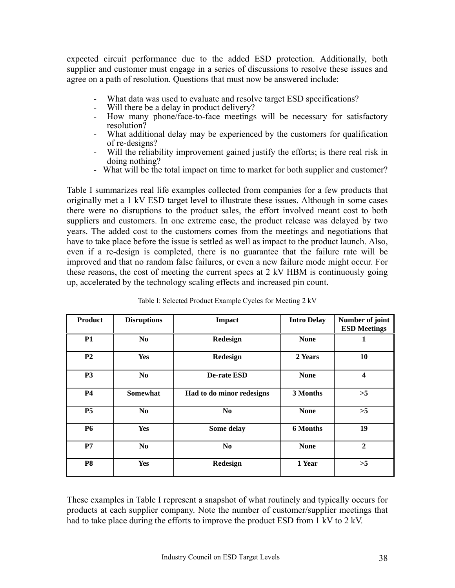expected circuit performance due to the added ESD protection. Additionally, both supplier and customer must engage in a series of discussions to resolve these issues and agree on a path of resolution. Questions that must now be answered include:

- What data was used to evaluate and resolve target ESD specifications?
- Will there be a delay in product delivery?
- How many phone/face-to-face meetings will be necessary for satisfactory resolution?
- What additional delay may be experienced by the customers for qualification of re-designs?
- Will the reliability improvement gained justify the efforts; is there real risk in doing nothing?
- What will be the total impact on time to market for both supplier and customer?

Table I summarizes real life examples collected from companies for a few products that originally met a 1 kV ESD target level to illustrate these issues. Although in some cases there were no disruptions to the product sales, the effort involved meant cost to both suppliers and customers. In one extreme case, the product release was delayed by two years. The added cost to the customers comes from the meetings and negotiations that have to take place before the issue is settled as well as impact to the product launch. Also, even if a re-design is completed, there is no guarantee that the failure rate will be improved and that no random false failures, or even a new failure mode might occur. For these reasons, the cost of meeting the current specs at 2 kV HBM is continuously going up, accelerated by the technology scaling effects and increased pin count.

| <b>Product</b> | <b>Disruptions</b> | <b>Impact</b>             | <b>Intro Delay</b> | Number of joint<br><b>ESD Meetings</b> |
|----------------|--------------------|---------------------------|--------------------|----------------------------------------|
| <b>P1</b>      | N <sub>0</sub>     | Redesign                  | <b>None</b>        | 1                                      |
| P <sub>2</sub> | <b>Yes</b>         | Redesign                  | 2 Years            | 10                                     |
| <b>P3</b>      | N <sub>0</sub>     | <b>De-rate ESD</b>        | <b>None</b>        | $\overline{\mathbf{4}}$                |
| <b>P4</b>      | Somewhat           | Had to do minor redesigns | 3 Months           | >5                                     |
| P <sub>5</sub> | N <sub>0</sub>     | N <sub>0</sub>            | <b>None</b>        | $>5$                                   |
| <b>P6</b>      | <b>Yes</b>         | Some delay                | <b>6 Months</b>    | 19                                     |
| P7             | N <sub>0</sub>     | N <sub>0</sub>            | <b>None</b>        | $\mathbf{2}$                           |
| P <sub>8</sub> | <b>Yes</b>         | Redesign                  | 1 Year             | >5                                     |

|  |  | Table I: Selected Product Example Cycles for Meeting 2 kV |
|--|--|-----------------------------------------------------------|
|  |  |                                                           |

These examples in Table I represent a snapshot of what routinely and typically occurs for products at each supplier company. Note the number of customer/supplier meetings that had to take place during the efforts to improve the product ESD from 1 kV to 2 kV.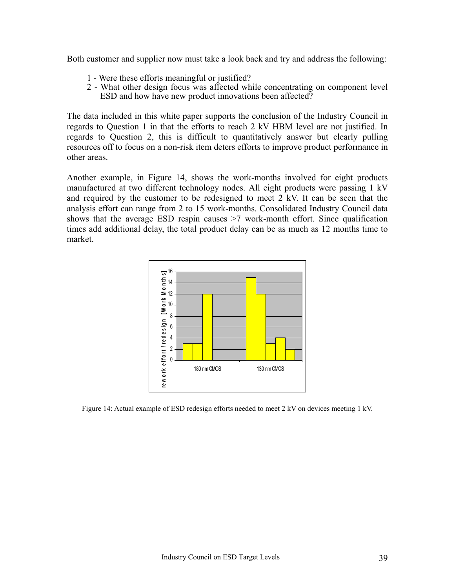Both customer and supplier now must take a look back and try and address the following:

- 1 Were these efforts meaningful or justified?
- 2 What other design focus was affected while concentrating on component level ESD and how have new product innovations been affected?

The data included in this white paper supports the conclusion of the Industry Council in regards to Question 1 in that the efforts to reach 2 kV HBM level are not justified. In regards to Question 2, this is difficult to quantitatively answer but clearly pulling resources off to focus on a non-risk item deters efforts to improve product performance in other areas.

Another example, in Figure 14, shows the work-months involved for eight products manufactured at two different technology nodes. All eight products were passing 1 kV and required by the customer to be redesigned to meet 2 kV. It can be seen that the analysis effort can range from 2 to 15 work-months. Consolidated Industry Council data shows that the average ESD respin causes >7 work-month effort. Since qualification times add additional delay, the total product delay can be as much as 12 months time to market.



Figure 14: Actual example of ESD redesign efforts needed to meet 2 kV on devices meeting 1 kV.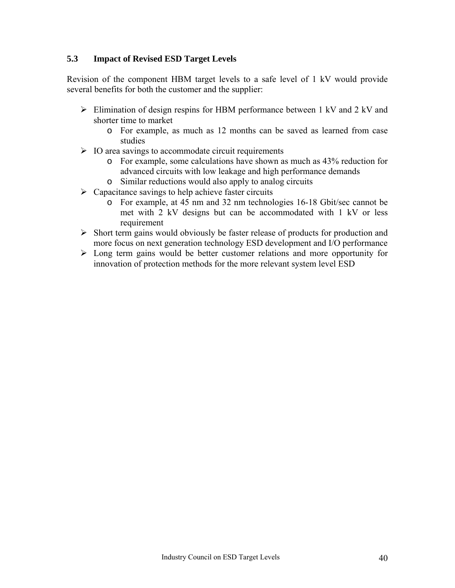#### **5.3 Impact of Revised ESD Target Levels**

Revision of the component HBM target levels to a safe level of 1 kV would provide several benefits for both the customer and the supplier:

- $\triangleright$  Elimination of design respins for HBM performance between 1 kV and 2 kV and shorter time to market
	- o For example, as much as 12 months can be saved as learned from case studies
- $\triangleright$  IO area savings to accommodate circuit requirements
	- o For example, some calculations have shown as much as 43% reduction for advanced circuits with low leakage and high performance demands
	- o Similar reductions would also apply to analog circuits
- $\triangleright$  Capacitance savings to help achieve faster circuits
	- o For example, at 45 nm and 32 nm technologies 16-18 Gbit/sec cannot be met with 2 kV designs but can be accommodated with 1 kV or less requirement
- $\triangleright$  Short term gains would obviously be faster release of products for production and more focus on next generation technology ESD development and I/O performance
- $\triangleright$  Long term gains would be better customer relations and more opportunity for innovation of protection methods for the more relevant system level ESD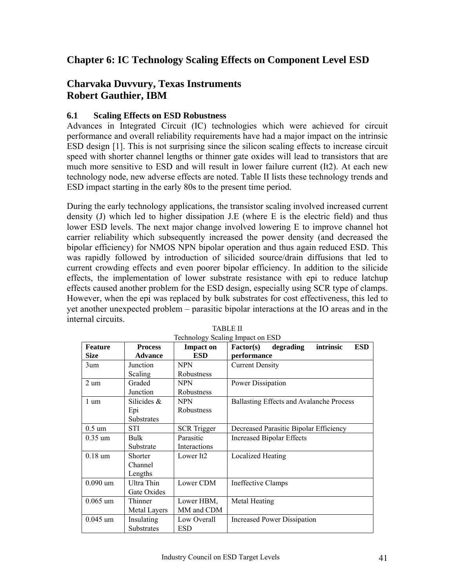### <span id="page-40-0"></span>**Chapter 6: IC Technology Scaling Effects on Component Level ESD**

### **Charvaka Duvvury, Texas Instruments Robert Gauthier, IBM**

#### **6.1 Scaling Effects on ESD Robustness**

Advances in Integrated Circuit (IC) technologies which were achieved for circuit performance and overall reliability requirements have had a major impact on the intrinsic ESD design [1]. This is not surprising since the silicon scaling effects to increase circuit speed with shorter channel lengths or thinner gate oxides will lead to transistors that are much more sensitive to ESD and will result in lower failure current (It2). At each new technology node, new adverse effects are noted. Table II lists these technology trends and ESD impact starting in the early 80s to the present time period.

During the early technology applications, the transistor scaling involved increased current density (J) which led to higher dissipation J.E (where E is the electric field) and thus lower ESD levels. The next major change involved lowering E to improve channel hot carrier reliability which subsequently increased the power density (and decreased the bipolar efficiency) for NMOS NPN bipolar operation and thus again reduced ESD. This was rapidly followed by introduction of silicided source/drain diffusions that led to current crowding effects and even poorer bipolar efficiency. In addition to the silicide effects, the implementation of lower substrate resistance with epi to reduce latchup effects caused another problem for the ESD design, especially using SCR type of clamps. However, when the epi was replaced by bulk substrates for cost effectiveness, this led to yet another unexpected problem – parasitic bipolar interactions at the IO areas and in the internal circuits.

| Feature           | <b>Process</b> | <b>Impact on</b>      | intrinsic<br><b>ESD</b><br>degrading<br><b>Factor(s)</b> |  |
|-------------------|----------------|-----------------------|----------------------------------------------------------|--|
| <b>Size</b>       | <b>Advance</b> | <b>ESD</b>            | performance                                              |  |
| 3um               | Junction       | <b>NPN</b>            | <b>Current Density</b>                                   |  |
|                   | Scaling        | Robustness            |                                                          |  |
| $2 \text{ um}$    | Graded         | NPN                   | Power Dissipation                                        |  |
|                   | Junction       | Robustness            |                                                          |  |
| $1 \text{ um}$    | Silicides &    | <b>NPN</b>            | Ballasting Effects and Avalanche Process                 |  |
|                   | Epi            | Robustness            |                                                          |  |
|                   | Substrates     |                       |                                                          |  |
| $0.5 \text{ um}$  | STI            | <b>SCR</b> Trigger    | Decreased Parasitic Bipolar Efficiency                   |  |
| $0.35 \text{ um}$ | Bulk           | Parasitic             | <b>Increased Bipolar Effects</b>                         |  |
|                   | Substrate      | Interactions          |                                                          |  |
| $0.18 \text{ um}$ | Shorter        | Lower It <sub>2</sub> | Localized Heating                                        |  |
|                   | Channel        |                       |                                                          |  |
|                   | Lengths        |                       |                                                          |  |
| $0.090$ um        | Ultra Thin     | Lower CDM             | Ineffective Clamps                                       |  |
|                   | Gate Oxides    |                       |                                                          |  |
| $0.065$ um        | Thinner        | Lower HBM,            | Metal Heating                                            |  |
|                   | Metal Layers   | MM and CDM            |                                                          |  |
| $0.045$ um        | Insulating     | Low Overall           | Increased Power Dissipation                              |  |
|                   | Substrates     | ESD                   |                                                          |  |

TABLE II Technology Scaling Impact on ESD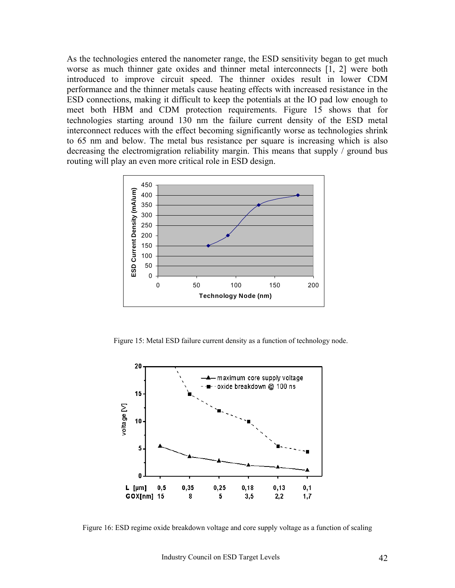As the technologies entered the nanometer range, the ESD sensitivity began to get much worse as much thinner gate oxides and thinner metal interconnects [1, 2] were both introduced to improve circuit speed. The thinner oxides result in lower CDM performance and the thinner metals cause heating effects with increased resistance in the ESD connections, making it difficult to keep the potentials at the IO pad low enough to meet both HBM and CDM protection requirements. Figure 15 shows that for technologies starting around 130 nm the failure current density of the ESD metal interconnect reduces with the effect becoming significantly worse as technologies shrink to 65 nm and below. The metal bus resistance per square is increasing which is also decreasing the electromigration reliability margin. This means that supply / ground bus routing will play an even more critical role in ESD design.



Figure 15: Metal ESD failure current density as a function of technology node.



Figure 16: ESD regime oxide breakdown voltage and core supply voltage as a function of scaling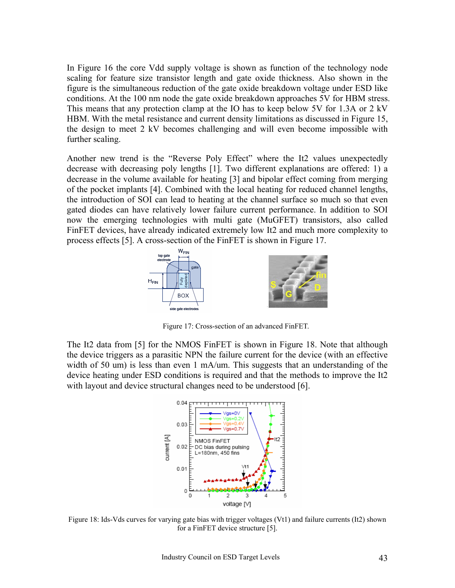In Figure 16 the core Vdd supply voltage is shown as function of the technology node scaling for feature size transistor length and gate oxide thickness. Also shown in the figure is the simultaneous reduction of the gate oxide breakdown voltage under ESD like conditions. At the 100 nm node the gate oxide breakdown approaches 5V for HBM stress. This means that any protection clamp at the IO has to keep below 5V for 1.3A or 2 kV HBM. With the metal resistance and current density limitations as discussed in Figure 15, the design to meet 2 kV becomes challenging and will even become impossible with further scaling.

Another new trend is the "Reverse Poly Effect" where the It2 values unexpectedly decrease with decreasing poly lengths [1]. Two different explanations are offered: 1) a decrease in the volume available for heating [3] and bipolar effect coming from merging of the pocket implants [4]. Combined with the local heating for reduced channel lengths, the introduction of SOI can lead to heating at the channel surface so much so that even gated diodes can have relatively lower failure current performance. In addition to SOI now the emerging technologies with multi gate (MuGFET) transistors, also called FinFET devices, have already indicated extremely low It2 and much more complexity to process effects [5]. A cross-section of the FinFET is shown in Figure 17.



Figure 17: Cross-section of an advanced FinFET.

The It2 data from [5] for the NMOS FinFET is shown in Figure 18. Note that although the device triggers as a parasitic NPN the failure current for the device (with an effective width of 50 um) is less than even 1 mA/um. This suggests that an understanding of the device heating under ESD conditions is required and that the methods to improve the It2 with layout and device structural changes need to be understood [6].



Figure 18: Ids-Vds curves for varying gate bias with trigger voltages (Vt1) and failure currents (It2) shown for a FinFET device structure [5].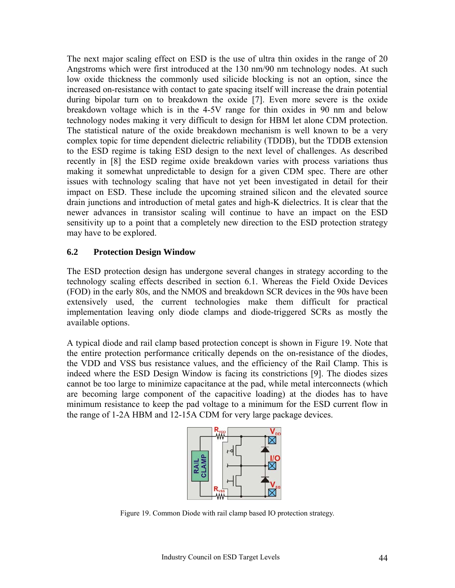The next major scaling effect on ESD is the use of ultra thin oxides in the range of 20 Angstroms which were first introduced at the 130 nm/90 nm technology nodes. At such low oxide thickness the commonly used silicide blocking is not an option, since the increased on-resistance with contact to gate spacing itself will increase the drain potential during bipolar turn on to breakdown the oxide [7]. Even more severe is the oxide breakdown voltage which is in the 4-5V range for thin oxides in 90 nm and below technology nodes making it very difficult to design for HBM let alone CDM protection. The statistical nature of the oxide breakdown mechanism is well known to be a very complex topic for time dependent dielectric reliability (TDDB), but the TDDB extension to the ESD regime is taking ESD design to the next level of challenges. As described recently in [8] the ESD regime oxide breakdown varies with process variations thus making it somewhat unpredictable to design for a given CDM spec. There are other issues with technology scaling that have not yet been investigated in detail for their impact on ESD. These include the upcoming strained silicon and the elevated source drain junctions and introduction of metal gates and high-K dielectrics. It is clear that the newer advances in transistor scaling will continue to have an impact on the ESD sensitivity up to a point that a completely new direction to the ESD protection strategy may have to be explored.

#### **6.2 Protection Design Window**

The ESD protection design has undergone several changes in strategy according to the technology scaling effects described in section 6.1. Whereas the Field Oxide Devices (FOD) in the early 80s, and the NMOS and breakdown SCR devices in the 90s have been extensively used, the current technologies make them difficult for practical implementation leaving only diode clamps and diode-triggered SCRs as mostly the available options.

A typical diode and rail clamp based protection concept is shown in Figure 19. Note that the entire protection performance critically depends on the on-resistance of the diodes, the VDD and VSS bus resistance values, and the efficiency of the Rail Clamp. This is indeed where the ESD Design Window is facing its constrictions [9]. The diodes sizes cannot be too large to minimize capacitance at the pad, while metal interconnects (which are becoming large component of the capacitive loading) at the diodes has to have minimum resistance to keep the pad voltage to a minimum for the ESD current flow in the range of 1-2A HBM and 12-15A CDM for very large package devices.



Figure 19. Common Diode with rail clamp based IO protection strategy.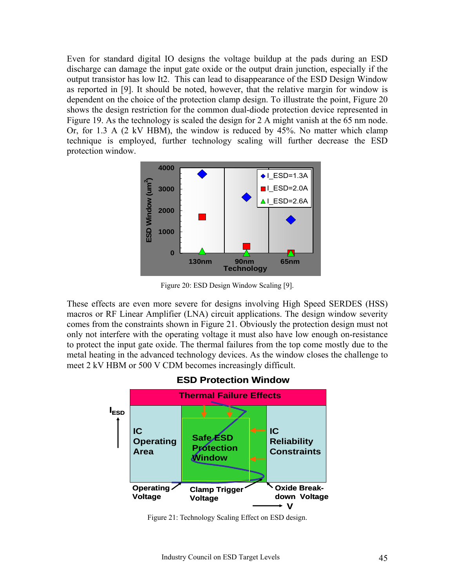Even for standard digital IO designs the voltage buildup at the pads during an ESD discharge can damage the input gate oxide or the output drain junction, especially if the output transistor has low It2. This can lead to disappearance of the ESD Design Window as reported in [9]. It should be noted, however, that the relative margin for window is dependent on the choice of the protection clamp design. To illustrate the point, Figure 20 shows the design restriction for the common dual-diode protection device represented in Figure 19. As the technology is scaled the design for 2 A might vanish at the 65 nm node. Or, for 1.3 A (2 kV HBM), the window is reduced by 45%. No matter which clamp technique is employed, further technology scaling will further decrease the ESD protection window.



Figure 20: ESD Design Window Scaling [9].

These effects are even more severe for designs involving High Speed SERDES (HSS) macros or RF Linear Amplifier (LNA) circuit applications. The design window severity comes from the constraints shown in Figure 21. Obviously the protection design must not only not interfere with the operating voltage it must also have low enough on-resistance to protect the input gate oxide. The thermal failures from the top come mostly due to the metal heating in the advanced technology devices. As the window closes the challenge to meet 2 kV HBM or 500 V CDM becomes increasingly difficult.



**ESD Protection Window**

Figure 21: Technology Scaling Effect on ESD design.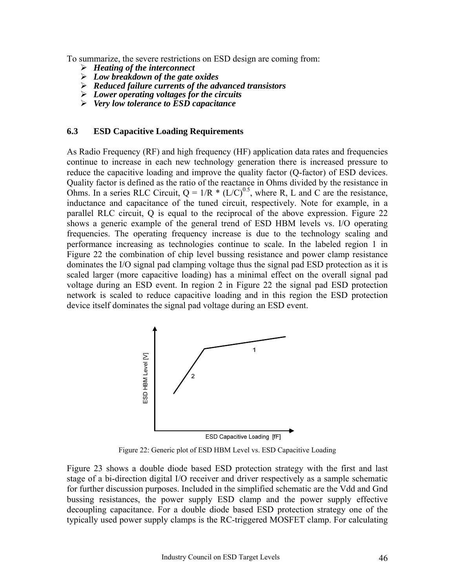To summarize, the severe restrictions on ESD design are coming from:

- ¾ *Heating of the interconnect*
- ¾ *Low breakdown of the gate oxides*
- ¾ *Reduced failure currents of the advanced transistors*
- ¾ *Lower operating voltages for the circuits*
- ¾ *Very low tolerance to ESD capacitance*

#### **6.3 ESD Capacitive Loading Requirements**

As Radio Frequency (RF) and high frequency (HF) application data rates and frequencies continue to increase in each new technology generation there is increased pressure to reduce the capacitive loading and improve the quality factor (Q-factor) of ESD devices. Quality factor is defined as the ratio of the reactance in Ohms divided by the resistance in Ohms. In a series RLC Circuit,  $Q = 1/R * (L/C)^{0.5}$ , where R, L and C are the resistance, inductance and capacitance of the tuned circuit, respectively. Note for example, in a parallel RLC circuit, Q is equal to the reciprocal of the above expression. Figure 22 shows a generic example of the general trend of ESD HBM levels vs. I/O operating frequencies. The operating frequency increase is due to the technology scaling and performance increasing as technologies continue to scale. In the labeled region 1 in Figure 22 the combination of chip level bussing resistance and power clamp resistance dominates the I/O signal pad clamping voltage thus the signal pad ESD protection as it is scaled larger (more capacitive loading) has a minimal effect on the overall signal pad voltage during an ESD event. In region 2 in Figure 22 the signal pad ESD protection network is scaled to reduce capacitive loading and in this region the ESD protection device itself dominates the signal pad voltage during an ESD event.



Figure 22: Generic plot of ESD HBM Level vs. ESD Capacitive Loading

Figure 23 shows a double diode based ESD protection strategy with the first and last stage of a bi-direction digital I/O receiver and driver respectively as a sample schematic for further discussion purposes. Included in the simplified schematic are the Vdd and Gnd bussing resistances, the power supply ESD clamp and the power supply effective decoupling capacitance. For a double diode based ESD protection strategy one of the ESD Capacitive Loading (FF)<br>
Figure 22: Generic plot of ESD HBM Level vs. ESD Capacitive Loading<br>
Figure 23 shows a double diode based ESD protection strategy with the first and last<br>
stage of a bi-direction digital I/O r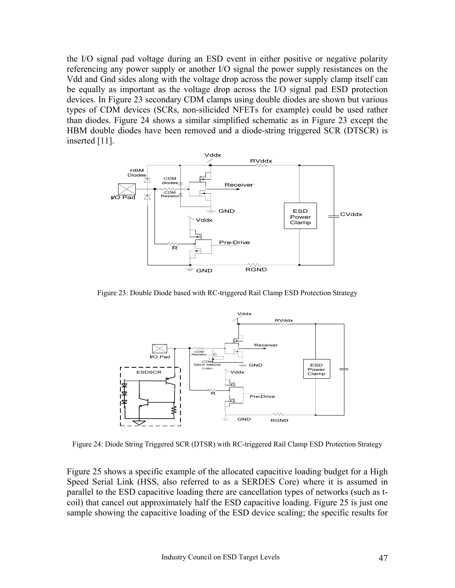the I/O signal pad voltage during an ESD event in either positive or negative polarity referencing any power supply or another I/O signal the power supply resistances on the Vdd and Gnd sides along with the voltage drop across the power supply clamp itself can be equally as important as the voltage drop across the I/O signal pad ESD protection devices. In Figure 23 secondary CDM clamps using double diodes are shown but various types of CDM devices (SCRs, non-silicided NFETs for example) could be used rather than diodes. Figure 24 shows a similar simplified schematic as in Figure 23 except the HBM double diodes have been removed and a diode-string triggered SCR (DTSCR) is inserted [11].



Figure 23: Double Diode based with RC-triggered Rail Clamp ESD Protection Strategy



Figure 24: Diode String Triggered SCR (DTSR) with RC-triggered Rail Clamp ESD Protection Strategy

Figure 25 shows a specific example of the allocated capacitive loading budget for a High Speed Serial Link (HSS, also referred to as a SERDES Core) where it is assumed in parallel to the ESD capacitive loading there are cancellation types of networks (such as tcoil) that cancel out approximately half the ESD capacitive loading. Figure 25 is just one sample showing the capacitive loading of the ESD device scaling; the specific results for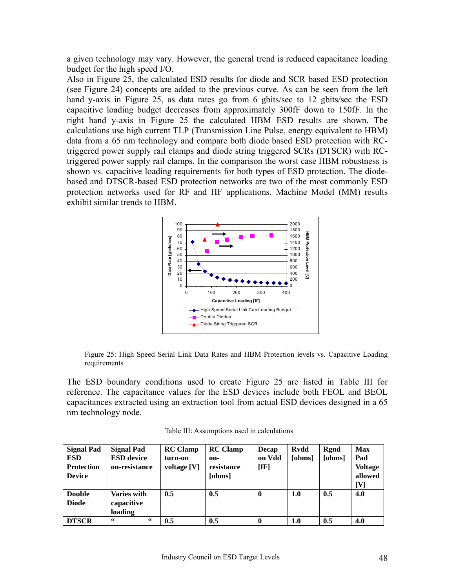a given technology may vary. However, the general trend is reduced capacitance loading budget for the high speed I/O.

Also in Figure 25, the calculated ESD results for diode and SCR based ESD protection (see Figure 24) concepts are added to the previous curve. As can be seen from the left hand y-axis in Figure 25, as data rates go from 6 gbits/sec to 12 gbits/sec the ESD capacitive loading budget decreases from approximately 300fF down to 150fF. In the right hand y-axis in Figure 25 the calculated HBM ESD results are shown. The calculations use high current TLP (Transmission Line Pulse, energy equivalent to HBM) data from a 65 nm technology and compare both diode based ESD protection with RCtriggered power supply rail clamps and diode string triggered SCRs (DTSCR) with RCtriggered power supply rail clamps. In the comparison the worst case HBM robustness is shown vs. capacitive loading requirements for both types of ESD protection. The diodebased and DTSCR-based ESD protection networks are two of the most commonly ESD protection networks used for RF and HF applications. Machine Model (MM) results exhibit similar trends to HBM.



Figure 25: High Speed Serial Link Data Rates and HBM Protection levels vs. Capacitive Loading requirements

The ESD boundary conditions used to create Figure 25 are listed in Table III for reference. The capacitance values for the ESD devices include both FEOL and BEOL capacitances extracted using an extraction tool from actual ESD devices designed in a 65 nm technology node.

| <b>Signal Pad</b> | <b>Signal Pad</b>  | <b>RC</b> Clamp | <b>RC</b> Clamp | Decap        | <b>Rvdd</b> | Rgnd   | <b>Max</b>     |
|-------------------|--------------------|-----------------|-----------------|--------------|-------------|--------|----------------|
| <b>ESD</b>        | <b>ESD</b> device  | turn-on         | on-             | on Vdd       | [ohms]      | [ohms] | Pad            |
| <b>Protection</b> | on-resistance      | voltage [V]     | resistance      | $[{\bf fF}]$ |             |        | <b>Voltage</b> |
| <b>Device</b>     |                    |                 | [ohms]          |              |             |        | allowed        |
|                   |                    |                 |                 |              |             |        | <b>IVI</b>     |
| <b>Double</b>     | <b>Varies with</b> | 0.5             | 0.5             | $\mathbf{0}$ | 1.0         | 0.5    | 4.0            |
| <b>Diode</b>      | capacitive         |                 |                 |              |             |        |                |
|                   | loading            |                 |                 |              |             |        |                |
| <b>DTSCR</b>      | 66<br>66           | 0.5             | 0.5             | $\mathbf 0$  | 1.0         | 0.5    | 4.0            |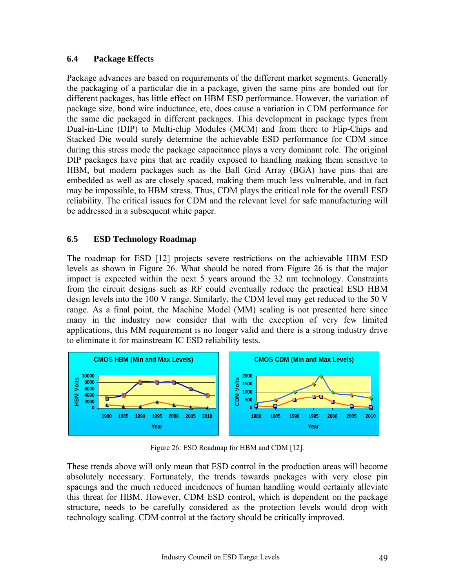#### **6.4 Package Effects**

Package advances are based on requirements of the different market segments. Generally the packaging of a particular die in a package, given the same pins are bonded out for different packages, has little effect on HBM ESD performance. However, the variation of package size, bond wire inductance, etc, does cause a variation in CDM performance for the same die packaged in different packages. This development in package types from Dual-in-Line (DIP) to Multi-chip Modules (MCM) and from there to Flip-Chips and Stacked Die would surely determine the achievable ESD performance for CDM since during this stress mode the package capacitance plays a very dominant role. The original DIP packages have pins that are readily exposed to handling making them sensitive to HBM, but modern packages such as the Ball Grid Array (BGA) have pins that are embedded as well as are closely spaced, making them much less vulnerable, and in fact may be impossible, to HBM stress. Thus, CDM plays the critical role for the overall ESD reliability. The critical issues for CDM and the relevant level for safe manufacturing will be addressed in a subsequent white paper.

#### **6.5 ESD Technology Roadmap**

The roadmap for ESD [12] projects severe restrictions on the achievable HBM ESD levels as shown in Figure 26. What should be noted from Figure 26 is that the major impact is expected within the next 5 years around the 32 nm technology. Constraints from the circuit designs such as RF could eventually reduce the practical ESD HBM design levels into the 100 V range. Similarly, the CDM level may get reduced to the 50 V range. As a final point, the Machine Model (MM) scaling is not presented here since many in the industry now consider that with the exception of very few limited applications, this MM requirement is no longer valid and there is a strong industry drive to eliminate it for mainstream IC ESD reliability tests.



Figure 26: ESD Roadmap for HBM and CDM [12].

These trends above will only mean that ESD control in the production areas will become absolutely necessary. Fortunately, the trends towards packages with very close pin spacings and the much reduced incidences of human handling would certainly alleviate this threat for HBM. However, CDM ESD control, which is dependent on the package structure, needs to be carefully considered as the protection levels would drop with technology scaling. CDM control at the factory should be critically improved.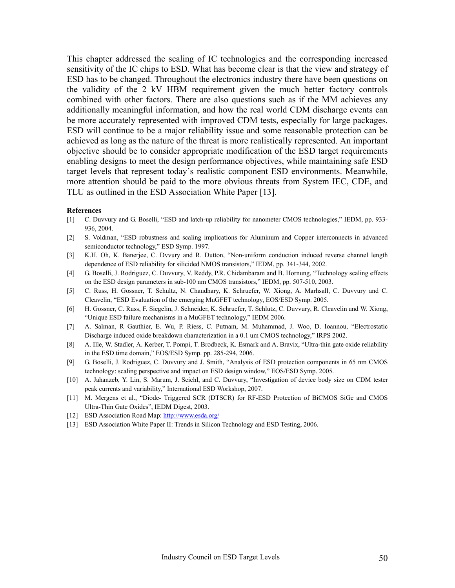This chapter addressed the scaling of IC technologies and the corresponding increased sensitivity of the IC chips to ESD. What has become clear is that the view and strategy of ESD has to be changed. Throughout the electronics industry there have been questions on the validity of the 2 kV HBM requirement given the much better factory controls combined with other factors. There are also questions such as if the MM achieves any additionally meaningful information, and how the real world CDM discharge events can be more accurately represented with improved CDM tests, especially for large packages. ESD will continue to be a major reliability issue and some reasonable protection can be achieved as long as the nature of the threat is more realistically represented. An important objective should be to consider appropriate modification of the ESD target requirements enabling designs to meet the design performance objectives, while maintaining safe ESD target levels that represent today's realistic component ESD environments. Meanwhile, more attention should be paid to the more obvious threats from System IEC, CDE, and TLU as outlined in the ESD Association White Paper [13].

#### **References**

- [1] C. Duvvury and G. Boselli, "ESD and latch-up reliability for nanometer CMOS technologies," IEDM, pp. 933- 936, 2004.
- [2] S. Voldman, "ESD robustness and scaling implications for Aluminum and Copper interconnects in advanced semiconductor technology," ESD Symp. 1997.
- [3] K.H. Oh, K. Banerjee, C. Dvvury and R. Dutton, "Non-uniform conduction induced reverse channel length dependence of ESD reliability for silicided NMOS transistors," IEDM, pp. 341-344, 2002.
- [4] G. Boselli, J. Rodriguez, C. Duvvury, V. Reddy, P.R. Chidambaram and B. Hornung, "Technology scaling effects on the ESD design parameters in sub-100 nm CMOS transistors," IEDM, pp. 507-510, 2003.
- [5] C. Russ, H. Gossner, T. Schultz, N. Chaudhary, K. Schruefer, W. Xiong, A. Marhsall, C. Duvvury and C. Cleavelin, "ESD Evaluation of the emerging MuGFET technology, EOS/ESD Symp. 2005.
- [6] H. Gossner, C. Russ, F. Siegelin, J. Schneider, K. Schruefer, T. Schlutz, C. Duvvury, R. Cleavelin and W. Xiong, "Unique ESD failure mechanisms in a MuGFET technology," IEDM 2006.
- [7] A. Salman, R Gauthier, E. Wu, P. Riess, C. Putnam, M. Muhammad, J. Woo, D. Ioannou, "Electrostatic Discharge induced oxide breakdown characterization in a 0.1 um CMOS technology," IRPS 2002.
- [8] A. Ille, W. Stadler, A. Kerber, T. Pompi, T. Brodbeck, K. Esmark and A. Bravix, "Ultra-thin gate oxide reliability in the ESD time domain," EOS/ESD Symp. pp. 285-294, 2006.
- [9] G. Boselli, J. Rodriguez, C. Duvvury and J. Smith, "Analysis of ESD protection components in 65 nm CMOS technology: scaling perspective and impact on ESD design window," EOS/ESD Symp. 2005.
- [10] A. Jahanzeb, Y. Lin, S. Marum, J. Scichl, and C. Duvvury, "Investigation of device body size on CDM tester peak currents and variability," International ESD Workshop, 2007.
- [11] M. Mergens et al., "Diode- Triggered SCR (DTSCR) for RF-ESD Protection of BiCMOS SiGe and CMOS Ultra-Thin Gate Oxides", IEDM Digest, 2003.
- [12] ESD Association Road Map:<http://www.esda.org/>
- [13] ESD Association White Paper II: Trends in Silicon Technology and ESD Testing, 2006.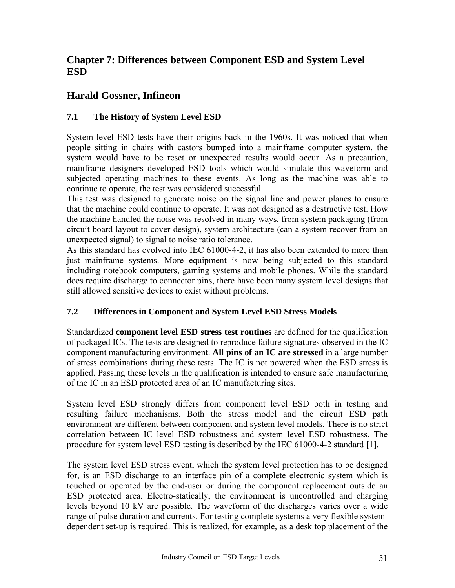### <span id="page-50-0"></span>**Chapter 7: Differences between Component ESD and System Level ESD**

### **Harald Gossner, Infineon**

### **7.1 The History of System Level ESD**

System level ESD tests have their origins back in the 1960s. It was noticed that when people sitting in chairs with castors bumped into a mainframe computer system, the system would have to be reset or unexpected results would occur. As a precaution, mainframe designers developed ESD tools which would simulate this waveform and subjected operating machines to these events. As long as the machine was able to continue to operate, the test was considered successful.

This test was designed to generate noise on the signal line and power planes to ensure that the machine could continue to operate. It was not designed as a destructive test. How the machine handled the noise was resolved in many ways, from system packaging (from circuit board layout to cover design), system architecture (can a system recover from an unexpected signal) to signal to noise ratio tolerance.

As this standard has evolved into IEC 61000-4-2, it has also been extended to more than just mainframe systems. More equipment is now being subjected to this standard including notebook computers, gaming systems and mobile phones. While the standard does require discharge to connector pins, there have been many system level designs that still allowed sensitive devices to exist without problems.

### **7.2 Differences in Component and System Level ESD Stress Models**

Standardized **component level ESD stress test routines** are defined for the qualification of packaged ICs. The tests are designed to reproduce failure signatures observed in the IC component manufacturing environment. **All pins of an IC are stressed** in a large number of stress combinations during these tests. The IC is not powered when the ESD stress is applied. Passing these levels in the qualification is intended to ensure safe manufacturing of the IC in an ESD protected area of an IC manufacturing sites.

System level ESD strongly differs from component level ESD both in testing and resulting failure mechanisms. Both the stress model and the circuit ESD path environment are different between component and system level models. There is no strict correlation between IC level ESD robustness and system level ESD robustness. The procedure for system level ESD testing is described by the IEC 61000-4-2 standard [1].

The system level ESD stress event, which the system level protection has to be designed for, is an ESD discharge to an interface pin of a complete electronic system which is touched or operated by the end-user or during the component replacement outside an ESD protected area. Electro-statically, the environment is uncontrolled and charging levels beyond 10 kV are possible. The waveform of the discharges varies over a wide range of pulse duration and currents. For testing complete systems a very flexible systemdependent set-up is required. This is realized, for example, as a desk top placement of the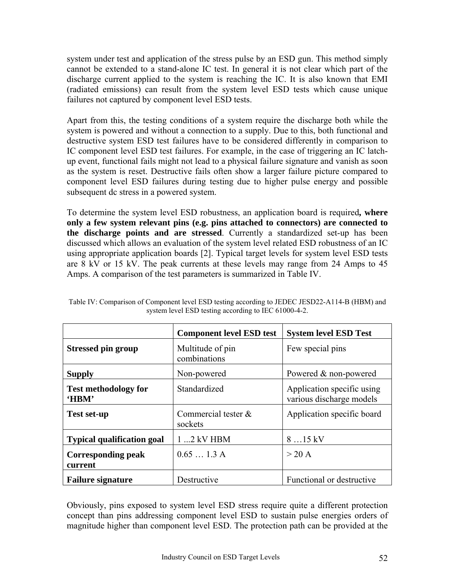system under test and application of the stress pulse by an ESD gun. This method simply cannot be extended to a stand-alone IC test. In general it is not clear which part of the discharge current applied to the system is reaching the IC. It is also known that EMI (radiated emissions) can result from the system level ESD tests which cause unique failures not captured by component level ESD tests.

Apart from this, the testing conditions of a system require the discharge both while the system is powered and without a connection to a supply. Due to this, both functional and destructive system ESD test failures have to be considered differently in comparison to IC component level ESD test failures. For example, in the case of triggering an IC latchup event, functional fails might not lead to a physical failure signature and vanish as soon as the system is reset. Destructive fails often show a larger failure picture compared to component level ESD failures during testing due to higher pulse energy and possible subsequent dc stress in a powered system.

To determine the system level ESD robustness, an application board is required**, where only a few system relevant pins (e.g. pins attached to connectors) are connected to the discharge points and are stressed**. Currently a standardized set-up has been discussed which allows an evaluation of the system level related ESD robustness of an IC using appropriate application boards [2]. Typical target levels for system level ESD tests are 8 kV or 15 kV. The peak currents at these levels may range from 24 Amps to 45 Amps. A comparison of the test parameters is summarized in Table IV.

|                                      | <b>Component level ESD test</b>  | <b>System level ESD Test</b>                           |  |
|--------------------------------------|----------------------------------|--------------------------------------------------------|--|
| <b>Stressed pin group</b>            | Multitude of pin<br>combinations | Few special pins                                       |  |
| <b>Supply</b>                        | Non-powered                      | Powered & non-powered                                  |  |
| <b>Test methodology for</b><br>'HBM' | Standardized                     | Application specific using<br>various discharge models |  |
| <b>Test set-up</b>                   | Commercial tester &<br>sockets   | Application specific board                             |  |
| <b>Typical qualification goal</b>    | $12$ kV HBM                      | $815$ kV                                               |  |
| <b>Corresponding peak</b><br>current | 0.651.3A                         | $>$ 20 A                                               |  |
| <b>Failure signature</b>             | Destructive                      | Functional or destructive                              |  |

Table IV: Comparison of Component level ESD testing according to JEDEC JESD22-A114-B (HBM) and system level ESD testing according to IEC 61000-4-2.

Obviously, pins exposed to system level ESD stress require quite a different protection concept than pins addressing component level ESD to sustain pulse energies orders of magnitude higher than component level ESD. The protection path can be provided at the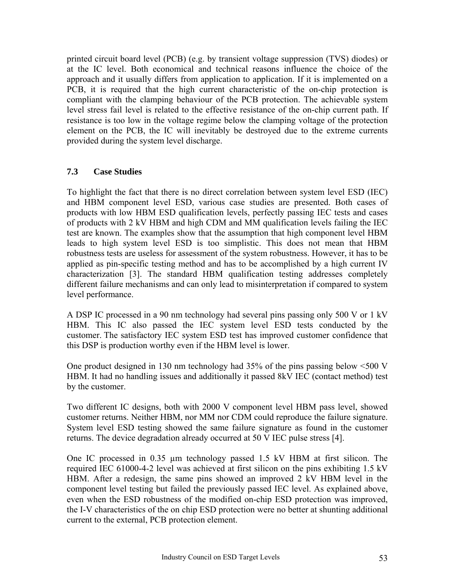printed circuit board level (PCB) (e.g. by transient voltage suppression (TVS) diodes) or at the IC level. Both economical and technical reasons influence the choice of the approach and it usually differs from application to application. If it is implemented on a PCB, it is required that the high current characteristic of the on-chip protection is compliant with the clamping behaviour of the PCB protection. The achievable system level stress fail level is related to the effective resistance of the on-chip current path. If resistance is too low in the voltage regime below the clamping voltage of the protection element on the PCB, the IC will inevitably be destroyed due to the extreme currents provided during the system level discharge.

#### **7.3 Case Studies**

To highlight the fact that there is no direct correlation between system level ESD (IEC) and HBM component level ESD, various case studies are presented. Both cases of products with low HBM ESD qualification levels, perfectly passing IEC tests and cases of products with 2 kV HBM and high CDM and MM qualification levels failing the IEC test are known. The examples show that the assumption that high component level HBM leads to high system level ESD is too simplistic. This does not mean that HBM robustness tests are useless for assessment of the system robustness. However, it has to be applied as pin-specific testing method and has to be accomplished by a high current IV characterization [3]. The standard HBM qualification testing addresses completely different failure mechanisms and can only lead to misinterpretation if compared to system level performance.

A DSP IC processed in a 90 nm technology had several pins passing only 500 V or 1 kV HBM. This IC also passed the IEC system level ESD tests conducted by the customer. The satisfactory IEC system ESD test has improved customer confidence that this DSP is production worthy even if the HBM level is lower.

One product designed in 130 nm technology had 35% of the pins passing below <500 V HBM. It had no handling issues and additionally it passed 8kV IEC (contact method) test by the customer.

Two different IC designs, both with 2000 V component level HBM pass level, showed customer returns. Neither HBM, nor MM nor CDM could reproduce the failure signature. System level ESD testing showed the same failure signature as found in the customer returns. The device degradation already occurred at 50 V IEC pulse stress [4].

One IC processed in 0.35 µm technology passed 1.5 kV HBM at first silicon. The required IEC 61000-4-2 level was achieved at first silicon on the pins exhibiting 1.5 kV HBM. After a redesign, the same pins showed an improved 2 kV HBM level in the component level testing but failed the previously passed IEC level. As explained above, even when the ESD robustness of the modified on-chip ESD protection was improved, the I-V characteristics of the on chip ESD protection were no better at shunting additional current to the external, PCB protection element.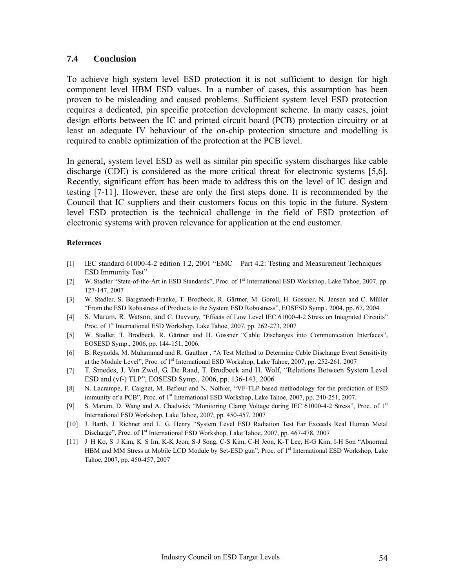#### **7.4 Conclusion**

To achieve high system level ESD protection it is not sufficient to design for high component level HBM ESD values. In a number of cases, this assumption has been proven to be misleading and caused problems. Sufficient system level ESD protection requires a dedicated, pin specific protection development scheme. In many cases, joint design efforts between the IC and printed circuit board (PCB) protection circuitry or at least an adequate IV behaviour of the on-chip protection structure and modelling is required to enable optimization of the protection at the PCB level.

In general**,** system level ESD as well as similar pin specific system discharges like cable discharge (CDE) is considered as the more critical threat for electronic systems [5,6]. Recently, significant effort has been made to address this on the level of IC design and testing [7-11]. However, these are only the first steps done. It is recommended by the Council that IC suppliers and their customers focus on this topic in the future. System level ESD protection is the technical challenge in the field of ESD protection of electronic systems with proven relevance for application at the end customer.

#### **References**

- [1] IEC standard 61000-4-2 edition 1.2, 2001 "EMC Part 4.2: Testing and Measurement Techniques ESD Immunity Test"
- [2] W. Stadler "State-of-the-Art in ESD Standards", Proc. of 1<sup>st</sup> International ESD Workshop, Lake Tahoe, 2007, pp. 127-147, 2007
- [3] W. Stadler, S. Bargstaedt-Franke, T. Brodbeck, R. Gärtner, M. Goroll, H. Gossner, N. Jensen and C. Müller "From the ESD Robustness of Products to the System ESD Robustness", EOSESD Symp., 2004, pp. 67, 2004
- [4] S. Marum, R. Watson, and C. Duvvury, "Effects of Low Level IEC 61000-4-2 Stress on Integrated Circuits" Proc. of 1<sup>st</sup> International ESD Workshop, Lake Tahoe, 2007, pp. 262-273, 2007
- [5] W. Stadler, T. Brodbeck, R. Gärtner and H. Gossner "Cable Discharges into Communication Interfaces", EOSESD Symp., 2006, pp. 144-151, 2006.
- [6] B. Reynolds, M. Muhammad and R. Gauthier , "A Test Method to Determine Cable Discharge Event Sensitivity at the Module Level", Proc. of 1<sup>st</sup> International ESD Workshop, Lake Tahoe, 2007, pp. 252-261, 2007
- [7] T. Smedes, J. Van Zwol, G. De Raad, T. Brodbeck and H. Wolf, "Relations Between System Level ESD and (vf-) TLP", EOSESD Symp., 2006, pp. 136-143, 2006
- [8] N. Lacrampe, F. Caignet, M. Bafleur and N. Nolhier, "VF-TLP based methodology for the prediction of ESD immunity of a PCB", Proc. of 1<sup>st</sup> International ESD Workshop, Lake Tahoe, 2007, pp. 240-251, 2007.
- [9] S. Marum, D. Wang and A. Chadwick "Monitoring Clamp Voltage during IEC 61000-4-2 Stress", Proc. of 1<sup>st</sup> International ESD Workshop, Lake Tahoe, 2007, pp. 450-457, 2007
- [10] J. Barth, J. Richner and L. G. Henry "System Level ESD Radiation Test Far Exceeds Real Human Metal Discharge", Proc. of 1<sup>st</sup> International ESD Workshop, Lake Tahoe, 2007, pp. 467-478, 2007
- [11] J\_H Ko, S\_J Kim, K\_S Im, K-K Jeon, S-J Song, C-S Kim, C-H Jeon, K-T Lee, H-G Kim, I-H Son "Abnormal HBM and MM Stress at Mobile LCD Module by Set-ESD gun", Proc. of 1<sup>st</sup> International ESD Workshop, Lake Tahoe, 2007, pp. 450-457, 2007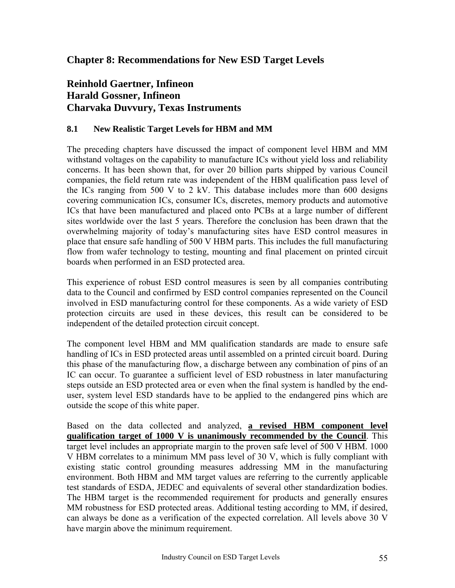### <span id="page-54-0"></span>**Chapter 8: Recommendations for New ESD Target Levels**

### **Reinhold Gaertner, Infineon Harald Gossner, Infineon Charvaka Duvvury, Texas Instruments**

### **8.1 New Realistic Target Levels for HBM and MM**

The preceding chapters have discussed the impact of component level HBM and MM withstand voltages on the capability to manufacture ICs without yield loss and reliability concerns. It has been shown that, for over 20 billion parts shipped by various Council companies, the field return rate was independent of the HBM qualification pass level of the ICs ranging from 500 V to 2 kV. This database includes more than 600 designs covering communication ICs, consumer ICs, discretes, memory products and automotive ICs that have been manufactured and placed onto PCBs at a large number of different sites worldwide over the last 5 years. Therefore the conclusion has been drawn that the overwhelming majority of today's manufacturing sites have ESD control measures in place that ensure safe handling of 500 V HBM parts. This includes the full manufacturing flow from wafer technology to testing, mounting and final placement on printed circuit boards when performed in an ESD protected area.

This experience of robust ESD control measures is seen by all companies contributing data to the Council and confirmed by ESD control companies represented on the Council involved in ESD manufacturing control for these components. As a wide variety of ESD protection circuits are used in these devices, this result can be considered to be independent of the detailed protection circuit concept.

The component level HBM and MM qualification standards are made to ensure safe handling of ICs in ESD protected areas until assembled on a printed circuit board. During this phase of the manufacturing flow, a discharge between any combination of pins of an IC can occur. To guarantee a sufficient level of ESD robustness in later manufacturing steps outside an ESD protected area or even when the final system is handled by the enduser, system level ESD standards have to be applied to the endangered pins which are outside the scope of this white paper.

Based on the data collected and analyzed, **a revised HBM component level qualification target of 1000 V is unanimously recommended by the Council**. This target level includes an appropriate margin to the proven safe level of 500 V HBM. 1000 V HBM correlates to a minimum MM pass level of 30 V, which is fully compliant with existing static control grounding measures addressing MM in the manufacturing environment. Both HBM and MM target values are referring to the currently applicable test standards of ESDA, JEDEC and equivalents of several other standardization bodies. The HBM target is the recommended requirement for products and generally ensures MM robustness for ESD protected areas. Additional testing according to MM, if desired, can always be done as a verification of the expected correlation. All levels above 30 V have margin above the minimum requirement.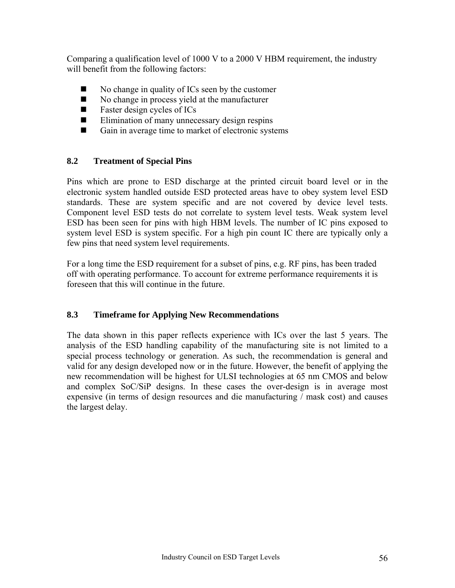Comparing a qualification level of 1000 V to a 2000 V HBM requirement, the industry will benefit from the following factors:

- $\blacksquare$  No change in quality of ICs seen by the customer
- $\blacksquare$  No change in process yield at the manufacturer
- **Faster design cycles of ICs**
- $\blacksquare$  Elimination of many unnecessary design respins
- Gain in average time to market of electronic systems

#### **8.2 Treatment of Special Pins**

Pins which are prone to ESD discharge at the printed circuit board level or in the electronic system handled outside ESD protected areas have to obey system level ESD standards. These are system specific and are not covered by device level tests. Component level ESD tests do not correlate to system level tests. Weak system level ESD has been seen for pins with high HBM levels. The number of IC pins exposed to system level ESD is system specific. For a high pin count IC there are typically only a few pins that need system level requirements.

For a long time the ESD requirement for a subset of pins, e.g. RF pins, has been traded off with operating performance. To account for extreme performance requirements it is foreseen that this will continue in the future.

#### **8.3 Timeframe for Applying New Recommendations**

The data shown in this paper reflects experience with ICs over the last 5 years. The analysis of the ESD handling capability of the manufacturing site is not limited to a special process technology or generation. As such, the recommendation is general and valid for any design developed now or in the future. However, the benefit of applying the new recommendation will be highest for ULSI technologies at 65 nm CMOS and below and complex SoC/SiP designs. In these cases the over-design is in average most expensive (in terms of design resources and die manufacturing / mask cost) and causes the largest delay.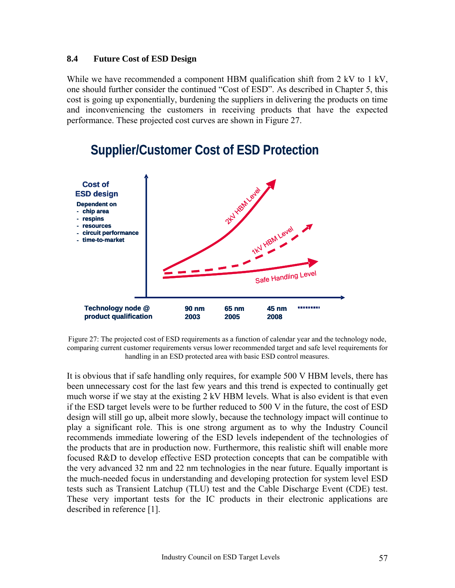#### **8.4 Future Cost of ESD Design**

While we have recommended a component HBM qualification shift from 2 kV to 1 kV, one should further consider the continued "Cost of ESD". As described in Chapter 5, this cost is going up exponentially, burdening the suppliers in delivering the products on time and inconveniencing the customers in receiving products that have the expected performance. These projected cost curves are shown in Figure 27.



# **Supplier/Customer Cost of ESD Protection**

Figure 27: The projected cost of ESD requirements as a function of calendar year and the technology node, comparing current customer requirements versus lower recommended target and safe level requirements for handling in an ESD protected area with basic ESD control measures.

It is obvious that if safe handling only requires, for example 500 V HBM levels, there has been unnecessary cost for the last few years and this trend is expected to continually get much worse if we stay at the existing 2 kV HBM levels. What is also evident is that even if the ESD target levels were to be further reduced to 500 V in the future, the cost of ESD design will still go up, albeit more slowly, because the technology impact will continue to play a significant role. This is one strong argument as to why the Industry Council recommends immediate lowering of the ESD levels independent of the technologies of the products that are in production now. Furthermore, this realistic shift will enable more focused R&D to develop effective ESD protection concepts that can be compatible with the very advanced 32 nm and 22 nm technologies in the near future. Equally important is the much-needed focus in understanding and developing protection for system level ESD tests such as Transient Latchup (TLU) test and the Cable Discharge Event (CDE) test. These very important tests for the IC products in their electronic applications are described in reference [1].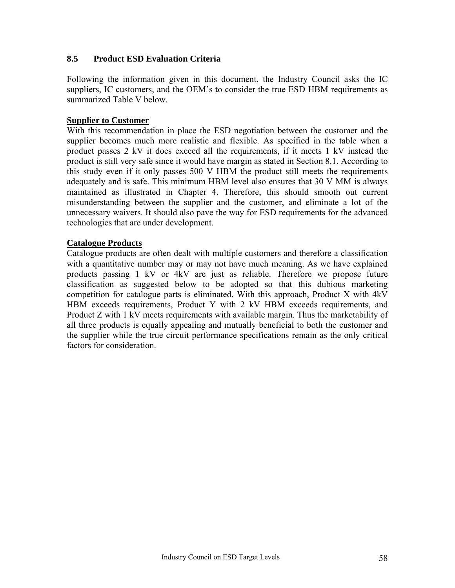#### **8.5 Product ESD Evaluation Criteria**

Following the information given in this document, the Industry Council asks the IC suppliers, IC customers, and the OEM's to consider the true ESD HBM requirements as summarized Table V below.

#### **Supplier to Customer**

With this recommendation in place the ESD negotiation between the customer and the supplier becomes much more realistic and flexible. As specified in the table when a product passes 2 kV it does exceed all the requirements, if it meets 1 kV instead the product is still very safe since it would have margin as stated in Section 8.1. According to this study even if it only passes 500 V HBM the product still meets the requirements adequately and is safe. This minimum HBM level also ensures that 30 V MM is always maintained as illustrated in Chapter 4. Therefore, this should smooth out current misunderstanding between the supplier and the customer, and eliminate a lot of the unnecessary waivers. It should also pave the way for ESD requirements for the advanced technologies that are under development.

#### **Catalogue Products**

Catalogue products are often dealt with multiple customers and therefore a classification with a quantitative number may or may not have much meaning. As we have explained products passing 1 kV or 4kV are just as reliable. Therefore we propose future classification as suggested below to be adopted so that this dubious marketing competition for catalogue parts is eliminated. With this approach, Product X with 4kV HBM exceeds requirements, Product Y with 2 kV HBM exceeds requirements, and Product Z with 1 kV meets requirements with available margin. Thus the marketability of all three products is equally appealing and mutually beneficial to both the customer and the supplier while the true circuit performance specifications remain as the only critical factors for consideration.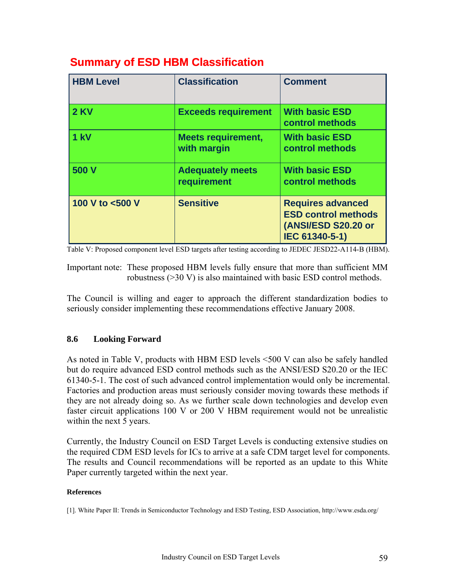| <b>HBM Level</b> | <b>Classification</b>                    | <b>Comment</b>                                                                                  |
|------------------|------------------------------------------|-------------------------------------------------------------------------------------------------|
| <b>2 KV</b>      | <b>Exceeds requirement</b>               | <b>With basic ESD</b><br>control methods                                                        |
| 1 kV             | <b>Meets requirement,</b><br>with margin | <b>With basic ESD</b><br>control methods                                                        |
| 500 V            | <b>Adequately meets</b><br>requirement   | <b>With basic ESD</b><br>control methods                                                        |
| 100 V to <500 V  | <b>Sensitive</b>                         | <b>Requires advanced</b><br><b>ESD control methods</b><br>(ANSI/ESD S20.20 or<br>IEC 61340-5-1) |

### **Summary of ESD HBM Classification**

Table V: Proposed component level ESD targets after testing according to JEDEC JESD22-A114-B (HBM).

Important note: These proposed HBM levels fully ensure that more than sufficient MM robustness (>30 V) is also maintained with basic ESD control methods.

The Council is willing and eager to approach the different standardization bodies to seriously consider implementing these recommendations effective January 2008.

#### **8.6 Looking Forward**

As noted in Table V, products with HBM ESD levels <500 V can also be safely handled but do require advanced ESD control methods such as the ANSI/ESD S20.20 or the IEC 61340-5-1. The cost of such advanced control implementation would only be incremental. Factories and production areas must seriously consider moving towards these methods if they are not already doing so. As we further scale down technologies and develop even faster circuit applications 100 V or 200 V HBM requirement would not be unrealistic within the next 5 years.

Currently, the Industry Council on ESD Target Levels is conducting extensive studies on the required CDM ESD levels for ICs to arrive at a safe CDM target level for components. The results and Council recommendations will be reported as an update to this White Paper currently targeted within the next year.

#### **References**

[1]. White Paper II: Trends in Semiconductor Technology and ESD Testing, ESD Association, http://www.esda.org/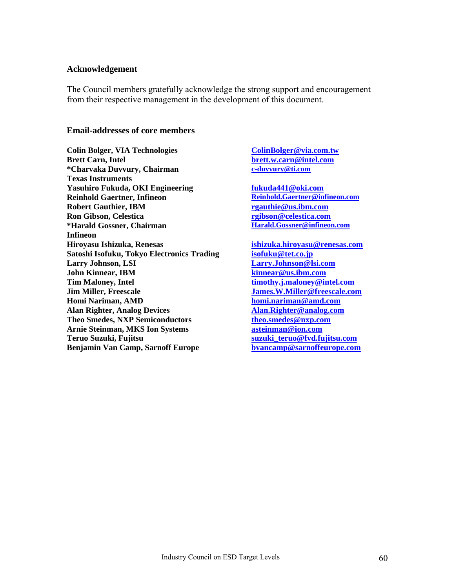#### **Acknowledgement**

The Council members gratefully acknowledge the strong support and encouragement from their respective management in the development of this document.

#### **Email-addresses of core members**

**Colin Bolger, VIA Technologies [ColinBolger@via.com.tw](mailto:ColinBolger@via.com.tw) Brett Carn, Intel [brett.w.carn@intel.com](mailto:brett.w.carn@intel.com) \*Charvaka Duvvury, Chairman [c-duvvury@ti.com](mailto:c-duvvury@ti.com) Texas Instruments Yasuhiro Fukuda, OKI Engineering [fukuda441@oki.com](mailto:fukuda441@oki.com) Reinhold Gaertner, Infineon Robert Gauthier, IBM [rgauthie@us.ibm.com](mailto:rgauthie@us.ibm.com) Ron Gibson, Celestica [rgibson@celestica.com](mailto:rgibson@celestica.com) \*Harald Gossner, Chairman Infineon Hiroyasu Ishizuka, Renesas [ishizuka.hiroyasu@renesas.com](mailto:ishizuka.hiroyasu@renesas.com) Satoshi Isofuku, Tokyo Electronics Trading [isofuku@tet.co.jp](mailto:isofuku@tet.co.jp) Larry Johnson, LSI [Larry.Johnson@lsi.com](mailto:Larry.Johnson@lsi.com) John Kinnear, IBM [kinnear@us.ibm.com](mailto:kinnear@us.ibm.com) Tim Maloney, Intel [timothy.j.maloney@intel.com](mailto:timothy.j.maloney@intel.com) Jim Miller, Freescale [James.W.Miller@freescale.com](mailto:James.W.Miller@freescale.com) Homi Nariman, AMD [homi.nariman@amd.com](mailto:homi.nariman@amd.com) Alan Righter, Analog Devices [Alan.Righter@analog.com](mailto:Alan.Righter@analog.com) Theo Smedes, NXP Semiconductors [theo.smedes@nxp.com](mailto:theo.smedes@nxp.com) Arnie Steinman, MKS Ion Systems [asteinman@ion.com](mailto:asteinman@ion.com) Teruo Suzuki, Fujitsu [suzuki\\_teruo@fvd.fujitsu.com](mailto:suzuki_teruo@fvd.fujitsu.com) Benjamin Van Camp, Sarnoff Europe [bvancamp@sarnoffeurope.com](mailto:bvancamp@sarnoffeurope.com)**